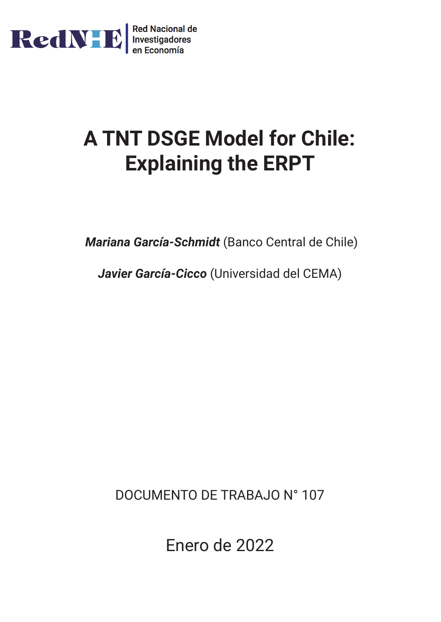

# **A TNT DSGE Model for Chile: Explaining the ERPT**

*Mariana García-Schmidt* (Banco Central de Chile)

*Javier García-Cicco* (Universidad del CEMA)

DOCUMENTO DE TRABAJO N° 107

Enero de 2022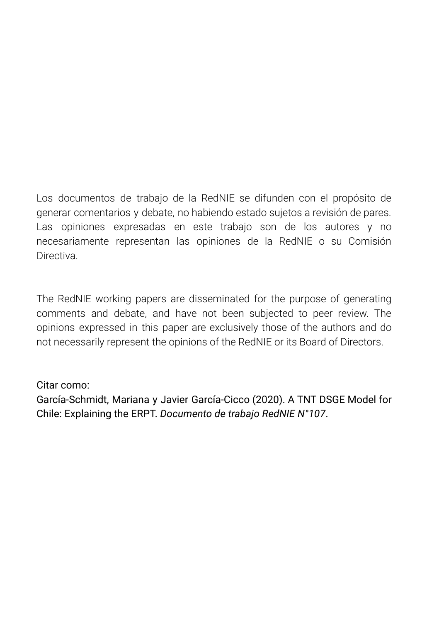Los documentos de trabajo de la RedNIE se difunden con el propósito de generar comentarios y debate, no habiendo estado sujetos a revisión de pares. Las opiniones expresadas en este trabajo son de los autores y no necesariamente representan las opiniones de la RedNIE o su Comisión Directiva.

The RedNIE working papers are disseminated for the purpose of generating comments and debate, and have not been subjected to peer review. The opinions expressed in this paper are exclusively those of the authors and do not necessarily represent the opinions of the RedNIE or its Board of Directors.

## Citar como:

García-Schmidt, Mariana y Javier García-Cicco (2020). A TNT DSGE Model for Chile: Explaining the ERPT. *Documento de trabajo RedNIE N°107*.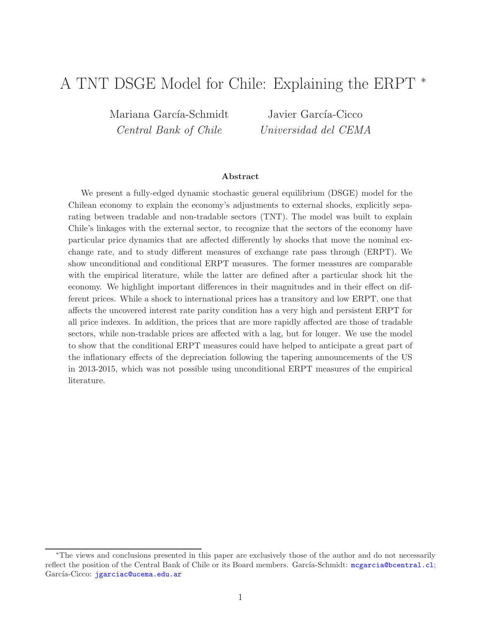# A TNT DSGE Model for Chile: Explaining the ERPT <sup>∗</sup>

Mariana García-Schmidt Central Bank of Chile

Javier García-Cicco Universidad del CEMA

#### Abstract

We present a fully-edged dynamic stochastic general equilibrium (DSGE) model for the Chilean economy to explain the economy's adjustments to external shocks, explicitly separating between tradable and non-tradable sectors (TNT). The model was built to explain Chile's linkages with the external sector, to recognize that the sectors of the economy have particular price dynamics that are affected differently by shocks that move the nominal exchange rate, and to study different measures of exchange rate pass through (ERPT). We show unconditional and conditional ERPT measures. The former measures are comparable with the empirical literature, while the latter are defined after a particular shock hit the economy. We highlight important differences in their magnitudes and in their effect on different prices. While a shock to international prices has a transitory and low ERPT, one that affects the uncovered interest rate parity condition has a very high and persistent ERPT for all price indexes. In addition, the prices that are more rapidly affected are those of tradable sectors, while non-tradable prices are affected with a lag, but for longer. We use the model to show that the conditional ERPT measures could have helped to anticipate a great part of the inflationary effects of the depreciation following the tapering announcements of the US in 2013-2015, which was not possible using unconditional ERPT measures of the empirical literature.

<sup>∗</sup>The views and conclusions presented in this paper are exclusively those of the author and do not necessarily reflect the position of the Central Bank of Chile or its Board members. García-Schmidt: <mcgarcia@bcentral.cl>; García-Cicco: <jgarciac@ucema.edu.ar>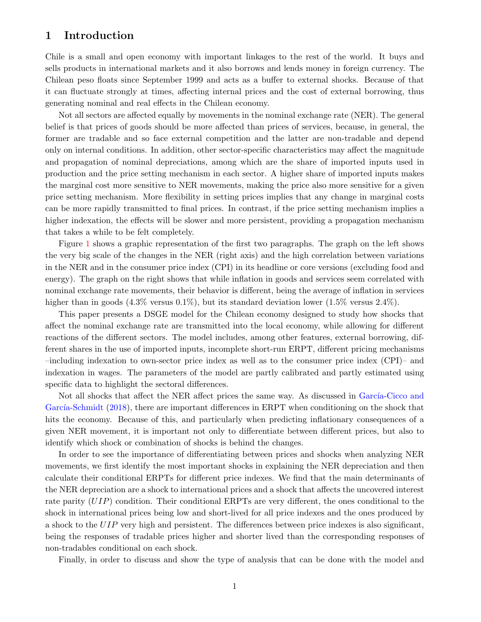#### 1 Introduction

Chile is a small and open economy with important linkages to the rest of the world. It buys and sells products in international markets and it also borrows and lends money in foreign currency. The Chilean peso floats since September 1999 and acts as a buffer to external shocks. Because of that it can fluctuate strongly at times, affecting internal prices and the cost of external borrowing, thus generating nominal and real effects in the Chilean economy.

Not all sectors are affected equally by movements in the nominal exchange rate (NER). The general belief is that prices of goods should be more affected than prices of services, because, in general, the former are tradable and so face external competition and the latter are non-tradable and depend only on internal conditions. In addition, other sector-specific characteristics may affect the magnitude and propagation of nominal depreciations, among which are the share of imported inputs used in production and the price setting mechanism in each sector. A higher share of imported inputs makes the marginal cost more sensitive to NER movements, making the price also more sensitive for a given price setting mechanism. More flexibility in setting prices implies that any change in marginal costs can be more rapidly transmitted to final prices. In contrast, if the price setting mechanism implies a higher indexation, the effects will be slower and more persistent, providing a propagation mechanism that takes a while to be felt completely.

Figure 1 shows a graphic representation of the first two paragraphs. The graph on the left shows the very big scale of the changes in the NER (right axis) and the high correlation between variations in the NER and in the consumer price index (CPI) in its headline or core versions (excluding food and energy). The graph on the right shows that while inflation in goods and services seem correlated with nominal exchange rate movements, their behavior is different, being the average of inflation in services higher than in goods  $(4.3\%$  versus  $0.1\%)$ , but its standard deviation lower  $(1.5\%$  versus  $2.4\%)$ .

This paper presents a DSGE model for the Chilean economy designed to study how shocks that affect the nominal exchange rate are transmitted into the local economy, while allowing for different reactions of the different sectors. The model includes, among other features, external borrowing, different shares in the use of imported inputs, incomplete short-run ERPT, different pricing mechanisms –including indexation to own-sector price index as well as to the consumer price index (CPI)– and indexation in wages. The parameters of the model are partly calibrated and partly estimated using specific data to highlight the sectoral differences.

Not all shocks that affect the NER affect prices the same way. As discussed in García-Cicco and García-Schmidt (2018), there are important differences in ERPT when conditioning on the shock that hits the economy. Because of this, and particularly when predicting inflationary consequences of a given NER movement, it is important not only to differentiate between different prices, but also to identify which shock or combination of shocks is behind the changes.

In order to see the importance of differentiating between prices and shocks when analyzing NER movements, we first identify the most important shocks in explaining the NER depreciation and then calculate their conditional ERPTs for different price indexes. We find that the main determinants of the NER depreciation are a shock to international prices and a shock that affects the uncovered interest rate parity (UIP) condition. Their conditional ERPTs are very different, the ones conditional to the shock in international prices being low and short-lived for all price indexes and the ones produced by a shock to the UIP very high and persistent. The differences between price indexes is also significant, being the responses of tradable prices higher and shorter lived than the corresponding responses of non-tradables conditional on each shock.

Finally, in order to discuss and show the type of analysis that can be done with the model and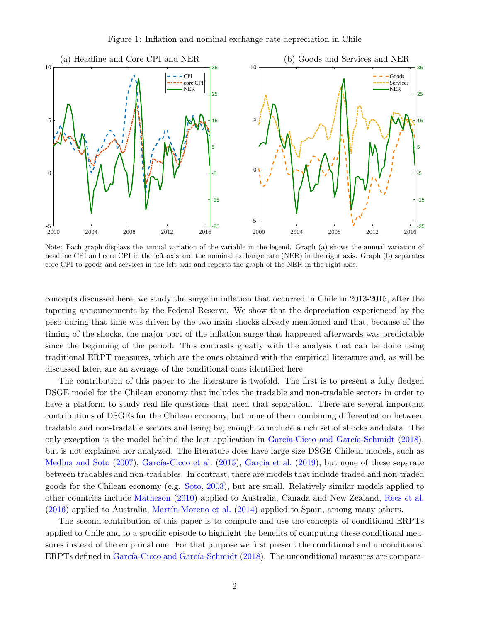

Note: Each graph displays the annual variation of the variable in the legend. Graph (a) shows the annual variation of headline CPI and core CPI in the left axis and the nominal exchange rate (NER) in the right axis. Graph (b) separates core CPI to goods and services in the left axis and repeats the graph of the NER in the right axis.

concepts discussed here, we study the surge in inflation that occurred in Chile in 2013-2015, after the tapering announcements by the Federal Reserve. We show that the depreciation experienced by the peso during that time was driven by the two main shocks already mentioned and that, because of the timing of the shocks, the major part of the inflation surge that happened afterwards was predictable since the beginning of the period. This contrasts greatly with the analysis that can be done using traditional ERPT measures, which are the ones obtained with the empirical literature and, as will be discussed later, are an average of the conditional ones identified here.

The contribution of this paper to the literature is twofold. The first is to present a fully fledged DSGE model for the Chilean economy that includes the tradable and non-tradable sectors in order to have a platform to study real life questions that need that separation. There are several important contributions of DSGEs for the Chilean economy, but none of them combining differentiation between tradable and non-tradable sectors and being big enough to include a rich set of shocks and data. The only exception is the model behind the last application in García-Cicco and García-Schmidt  $(2018)$ , but is not explained nor analyzed. The literature does have large size DSGE Chilean models, such as Medina and Soto (2007), García-Cicco et al. (2015), García et al. (2019), but none of these separate between tradables and non-tradables. In contrast, there are models that include traded and non-traded goods for the Chilean economy (e.g. Soto, 2003), but are small. Relatively similar models applied to other countries include Matheson (2010) applied to Australia, Canada and New Zealand, Rees et al.  $(2016)$  applied to Australia, Martín-Moreno et al.  $(2014)$  applied to Spain, among many others.

The second contribution of this paper is to compute and use the concepts of conditional ERPTs applied to Chile and to a specific episode to highlight the benefits of computing these conditional measures instead of the empirical one. For that purpose we first present the conditional and unconditional ERPTs defined in García-Cicco and García-Schmidt (2018). The unconditional measures are compara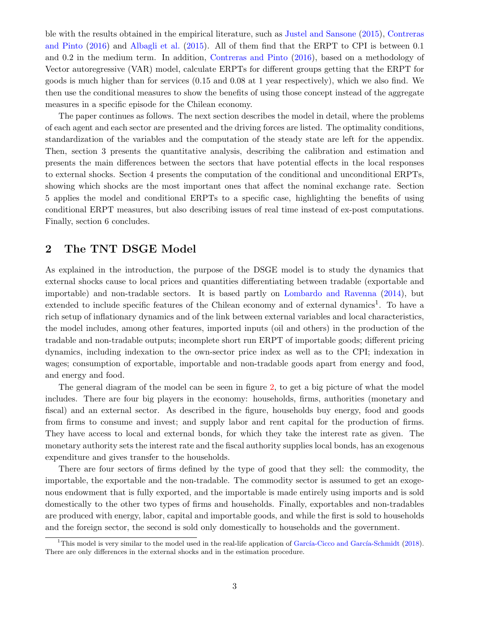ble with the results obtained in the empirical literature, such as Justel and Sansone (2015), Contreras and Pinto (2016) and Albagli et al. (2015). All of them find that the ERPT to CPI is between 0.1 and 0.2 in the medium term. In addition, Contreras and Pinto (2016), based on a methodology of Vector autoregressive (VAR) model, calculate ERPTs for different groups getting that the ERPT for goods is much higher than for services (0.15 and 0.08 at 1 year respectively), which we also find. We then use the conditional measures to show the benefits of using those concept instead of the aggregate measures in a specific episode for the Chilean economy.

The paper continues as follows. The next section describes the model in detail, where the problems of each agent and each sector are presented and the driving forces are listed. The optimality conditions, standardization of the variables and the computation of the steady state are left for the appendix. Then, section 3 presents the quantitative analysis, describing the calibration and estimation and presents the main differences between the sectors that have potential effects in the local responses to external shocks. Section 4 presents the computation of the conditional and unconditional ERPTs, showing which shocks are the most important ones that affect the nominal exchange rate. Section 5 applies the model and conditional ERPTs to a specific case, highlighting the benefits of using conditional ERPT measures, but also describing issues of real time instead of ex-post computations. Finally, section 6 concludes.

## 2 The TNT DSGE Model

As explained in the introduction, the purpose of the DSGE model is to study the dynamics that external shocks cause to local prices and quantities differentiating between tradable (exportable and importable) and non-tradable sectors. It is based partly on Lombardo and Ravenna (2014), but extended to include specific features of the Chilean economy and of external dynamics<sup>1</sup>. To have a rich setup of inflationary dynamics and of the link between external variables and local characteristics, the model includes, among other features, imported inputs (oil and others) in the production of the tradable and non-tradable outputs; incomplete short run ERPT of importable goods; different pricing dynamics, including indexation to the own-sector price index as well as to the CPI; indexation in wages; consumption of exportable, importable and non-tradable goods apart from energy and food, and energy and food.

The general diagram of the model can be seen in figure 2, to get a big picture of what the model includes. There are four big players in the economy: households, firms, authorities (monetary and fiscal) and an external sector. As described in the figure, households buy energy, food and goods from firms to consume and invest; and supply labor and rent capital for the production of firms. They have access to local and external bonds, for which they take the interest rate as given. The monetary authority sets the interest rate and the fiscal authority supplies local bonds, has an exogenous expenditure and gives transfer to the households.

There are four sectors of firms defined by the type of good that they sell: the commodity, the importable, the exportable and the non-tradable. The commodity sector is assumed to get an exogenous endowment that is fully exported, and the importable is made entirely using imports and is sold domestically to the other two types of firms and households. Finally, exportables and non-tradables are produced with energy, labor, capital and importable goods, and while the first is sold to households and the foreign sector, the second is sold only domestically to households and the government.

<sup>&</sup>lt;sup>1</sup>This model is very similar to the model used in the real-life application of García-Cicco and García-Schmidt (2018). There are only differences in the external shocks and in the estimation procedure.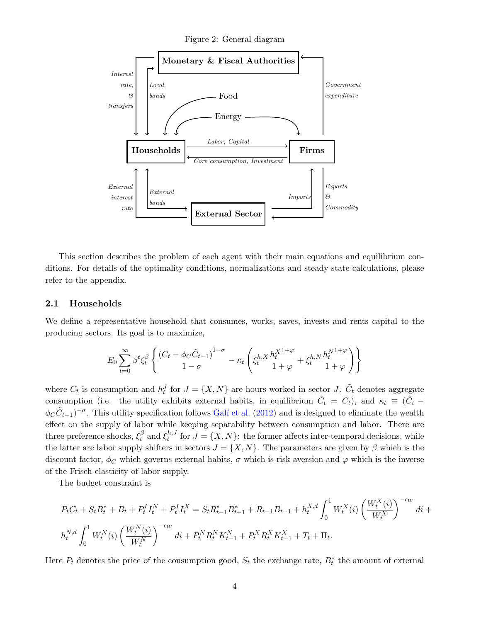Figure 2: General diagram



This section describes the problem of each agent with their main equations and equilibrium conditions. For details of the optimality conditions, normalizations and steady-state calculations, please refer to the appendix.

#### 2.1 Households

We define a representative household that consumes, works, saves, invests and rents capital to the producing sectors. Its goal is to maximize,

$$
E_0\sum_{t=0}^{\infty}\beta^t\xi_t^\beta\left\{\frac{\left(C_t-\phi_C\tilde{C}_{t-1}\right)^{1-\sigma}}{1-\sigma}-\kappa_t\left(\xi_t^{h,X}\frac{h_t^{X^{1+\varphi}}}{1+\varphi}+\xi_t^{h,N}\frac{h_t^{N^{1+\varphi}}}{1+\varphi}\right)\right\}
$$

where  $C_t$  is consumption and  $h_t^J$  for  $J = \{X, N\}$  are hours worked in sector J.  $\tilde{C}_t$  denotes aggregate consumption (i.e. the utility exhibits external habits, in equilibrium  $\tilde{C}_t = C_t$ ), and  $\kappa_t \equiv (\tilde{C}_t \phi_C \tilde{C}_{t-1}$ <sup>- $\sigma$ </sup>. This utility specification follows Galí et al. (2012) and is designed to eliminate the wealth effect on the supply of labor while keeping separability between consumption and labor. There are three preference shocks,  $\xi_t^{\beta}$  $\int_t^\beta$  and  $\xi_t^{h,J}$  $t^{n,J}$  for  $J = \{X, N\}$ : the former affects inter-temporal decisions, while the latter are labor supply shifters in sectors  $J = \{X, N\}$ . The parameters are given by  $\beta$  which is the discount factor,  $\phi_C$  which governs external habits,  $\sigma$  which is risk aversion and  $\varphi$  which is the inverse of the Frisch elasticity of labor supply.

The budget constraint is

$$
P_{t}C_{t} + S_{t}B_{t}^{*} + B_{t} + P_{t}^{I}I_{t}^{N} + P_{t}^{I}I_{t}^{X} = S_{t}R_{t-1}^{*}B_{t-1}^{*} + R_{t-1}B_{t-1} + h_{t}^{X,d} \int_{0}^{1} W_{t}^{X}(i) \left(\frac{W_{t}^{X}(i)}{W_{t}^{X}}\right)^{-\epsilon_{W}} di + h_{t}^{N,d} \int_{0}^{1} W_{t}^{N}(i) \left(\frac{W_{t}^{N}(i)}{W_{t}^{N}}\right)^{-\epsilon_{W}} di + P_{t}^{N}R_{t}^{N}K_{t-1}^{N} + P_{t}^{X}R_{t}^{X}K_{t-1}^{X} + T_{t} + \Pi_{t}.
$$

Here  $P_t$  denotes the price of the consumption good,  $S_t$  the exchange rate,  $B_t^*$  the amount of external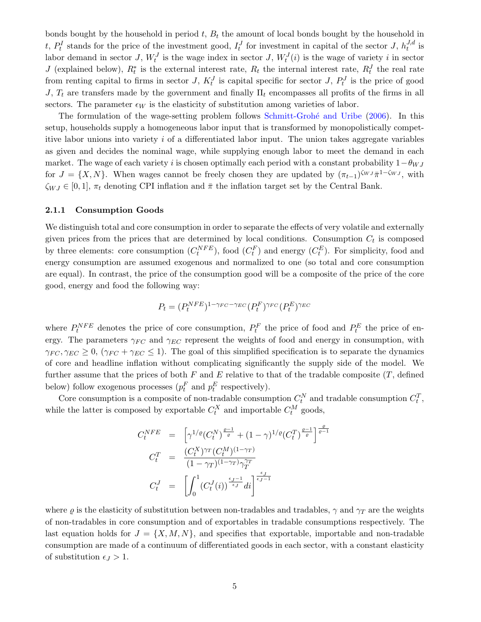bonds bought by the household in period  $t$ ,  $B_t$  the amount of local bonds bought by the household in t,  $P_t^I$  stands for the price of the investment good,  $I_t^J$  for investment in capital of the sector J,  $h_t^{J,d}$  $t^{J,a}$  is labor demand in sector J,  $W_t^J$  is the wage index in sector J,  $W_t^J(i)$  is the wage of variety i in sector J (explained below),  $R_t^*$  is the external interest rate,  $R_t$  the internal interest rate,  $R_t^J$  the real rate from renting capital to firms in sector J,  $K_t^J$  is capital specific for sector J,  $P_t^J$  is the price of good J,  $T_t$  are transfers made by the government and finally  $\Pi_t$  encompasses all profits of the firms in all sectors. The parameter  $\epsilon_W$  is the elasticity of substitution among varieties of labor.

The formulation of the wage-setting problem follows Schmitt-Grohé and Uribe (2006). In this setup, households supply a homogeneous labor input that is transformed by monopolistically competitive labor unions into variety  $i$  of a differentiated labor input. The union takes aggregate variables as given and decides the nominal wage, while supplying enough labor to meet the demand in each market. The wage of each variety i is chosen optimally each period with a constant probability  $1-\theta_{WJ}$ for  $J = \{X, N\}$ . When wages cannot be freely chosen they are updated by  $(\pi_{t-1})^{\zeta_{WJ}} \bar{\pi}^{1-\zeta_{WJ}}$ , with  $\zeta_{WJ} \in [0, 1], \pi_t$  denoting CPI inflation and  $\bar{\pi}$  the inflation target set by the Central Bank.

#### 2.1.1 Consumption Goods

We distinguish total and core consumption in order to separate the effects of very volatile and externally given prices from the prices that are determined by local conditions. Consumption  $C_t$  is composed by three elements: core consumption  $(C_t^{NFE})$ , food  $(C_t^F)$  and energy  $(C_t^E)$ . For simplicity, food and energy consumption are assumed exogenous and normalized to one (so total and core consumption are equal). In contrast, the price of the consumption good will be a composite of the price of the core good, energy and food the following way:

$$
P_t = (P_t^{NFE})^{1-\gamma_{FC}-\gamma_{EC}} (P_t^F)^{\gamma_{FC}} (P_t^E)^{\gamma_{EC}}
$$

where  $P_t^{NFE}$  denotes the price of core consumption,  $P_t^F$  the price of food and  $P_t^E$  the price of energy. The parameters  $\gamma_{FC}$  and  $\gamma_{EC}$  represent the weights of food and energy in consumption, with  $\gamma_{FC}, \gamma_{EC} \geq 0$ ,  $(\gamma_{FC} + \gamma_{EC} \leq 1)$ . The goal of this simplified specification is to separate the dynamics of core and headline inflation without complicating significantly the supply side of the model. We further assume that the prices of both  $F$  and  $E$  relative to that of the tradable composite  $(T, \text{defined})$ below) follow exogenous processes  $(p_t^F \text{ and } p_t^E \text{ respectively}).$ 

Core consumption is a composite of non-tradable consumption  $C_t^N$  and tradable consumption  $C_t^T$ , while the latter is composed by exportable  $C_t^X$  and importable  $C_t^M$  goods,

$$
C_t^{NFE} = \left[ \gamma^{1/\varrho} (C_t^N)^{\frac{\varrho - 1}{\varrho}} + (1 - \gamma)^{1/\varrho} (C_t^T)^{\frac{\varrho - 1}{\varrho}} \right]^{\frac{\varrho}{\varrho - 1}}
$$
  

$$
C_t^T = \frac{(C_t^X)^{\gamma_T} (C_t^M)^{(1 - \gamma_T)}}{(1 - \gamma_T)^{(1 - \gamma_T)} \gamma_T^{\gamma_T}}
$$
  

$$
C_t^J = \left[ \int_0^1 (C_t^J(i))^{\frac{\epsilon_J - 1}{\epsilon_J}} di \right]^{\frac{\epsilon_J}{\epsilon_J - 1}}
$$

where  $\varrho$  is the elasticity of substitution between non-tradables and tradables,  $\gamma$  and  $\gamma_T$  are the weights of non-tradables in core consumption and of exportables in tradable consumptions respectively. The last equation holds for  $J = \{X, M, N\}$ , and specifies that exportable, importable and non-tradable consumption are made of a continuum of differentiated goods in each sector, with a constant elasticity of substitution  $\epsilon_J > 1$ .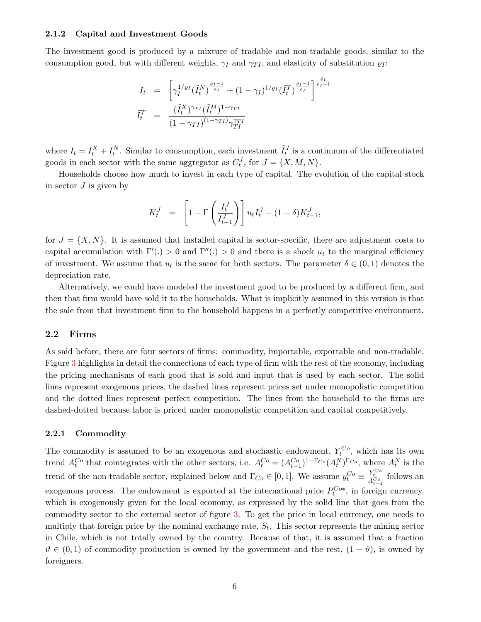#### 2.1.2 Capital and Investment Goods

The investment good is produced by a mixture of tradable and non-tradable goods, similar to the consumption good, but with different weights,  $\gamma_I$  and  $\gamma_{II}$ , and elasticity of substitution  $\varrho_I$ :

$$
I_t = \left[ \gamma_I^{1/\varrho_I} (\tilde{I}_t^N)^{\frac{\varrho_I - 1}{\varrho_I}} + (1 - \gamma_I)^{1/\varrho_I} (\tilde{I}_t^T)^{\frac{\varrho_I - 1}{\varrho_I}} \right]^{\frac{\varrho_I}{\varrho_I - 1}}
$$
  

$$
\tilde{I}_t^T = \frac{(\tilde{I}_t^X)^{\gamma_{TI}} (\tilde{I}_t^M)^{1 - \gamma_{TI}}}{(1 - \gamma_{TI})^{(1 - \gamma_{TI})} \gamma_{TI}^{\gamma_{TI}}}
$$

where  $I_t = I_t^X + I_t^N$ . Similar to consumption, each investment  $\tilde{I}_t^J$  is a continuum of the differentiated goods in each sector with the same aggregator as  $C_t^J$ , for  $J = \{X, M, N\}$ .

Households choose how much to invest in each type of capital. The evolution of the capital stock in sector  $J$  is given by

$$
K_t^J = \left[1 - \Gamma\left(\frac{I_t^J}{I_{t-1}^J}\right)\right] u_t I_t^J + (1 - \delta) K_{t-1}^J,
$$

for  $J = \{X, N\}$ . It is assumed that installed capital is sector-specific, there are adjustment costs to capital accumulation with  $\Gamma'(.) > 0$  and  $\Gamma''(.) > 0$  and there is a shock  $u_t$  to the marginal efficiency of investment. We assume that  $u_t$  is the same for both sectors. The parameter  $\delta \in (0,1)$  denotes the depreciation rate.

Alternatively, we could have modeled the investment good to be produced by a different firm, and then that firm would have sold it to the households. What is implicitly assumed in this version is that the sale from that investment firm to the household happens in a perfectly competitive environment.

#### 2.2 Firms

As said before, there are four sectors of firms: commodity, importable, exportable and non-tradable. Figure 3 highlights in detail the connections of each type of firm with the rest of the economy, including the pricing mechanisms of each good that is sold and input that is used by each sector. The solid lines represent exogenous prices, the dashed lines represent prices set under monopolistic competition and the dotted lines represent perfect competition. The lines from the household to the firms are dashed-dotted because labor is priced under monopolistic competition and capital competitively.

#### 2.2.1 Commodity

The commodity is assumed to be an exogenous and stochastic endowment,  $Y_t^{Co}$ , which has its own trend  $A_t^{Co}$  that cointegrates with the other sectors, i.e.  $A_t^{Co} = (A_{t-1}^{Co})^{1-\Gamma_{Co}} (A_t^N)^{\Gamma_{Co}}$ , where  $A_t^N$  is the trend of the non-tradable sector, explained below and  $\Gamma_{Co} \in [0,1]$ . We assume  $y_t^{Co} \equiv \frac{Y_t^{Co}}{A_{t-1}^{Co}}$  follows an exogenous process. The endowment is exported at the international price  $P_t^{C_{o*}}$ , in foreign currency, which is exogenously given for the local economy, as expressed by the solid line that goes from the commodity sector to the external sector of figure 3. To get the price in local currency, one needs to multiply that foreign price by the nominal exchange rate,  $S_t$ . This sector represents the mining sector in Chile, which is not totally owned by the country. Because of that, it is assumed that a fraction  $\vartheta \in (0,1)$  of commodity production is owned by the government and the rest,  $(1 - \vartheta)$ , is owned by foreigners.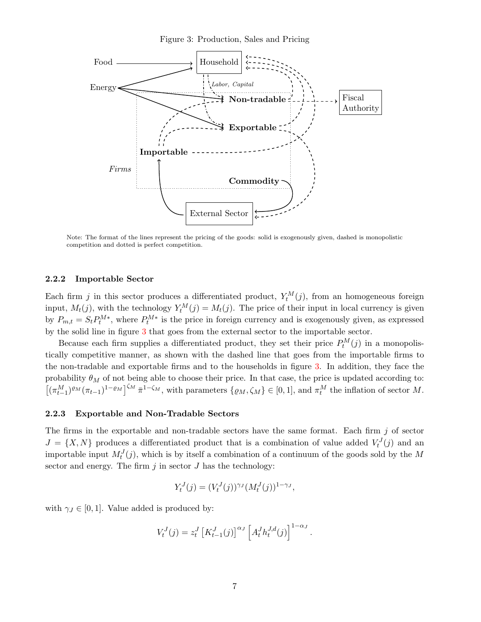Figure 3: Production, Sales and Pricing



Note: The format of the lines represent the pricing of the goods: solid is exogenously given, dashed is monopolistic competition and dotted is perfect competition.

#### 2.2.2 Importable Sector

Each firm j in this sector produces a differentiated product,  $Y_t^M(j)$ , from an homogeneous foreign input,  $M_t(j)$ , with the technology  $Y_t^M(j) = M_t(j)$ . The price of their input in local currency is given by  $P_{m,t} = S_t P_t^{M*}$ , where  $P_t^{M*}$  is the price in foreign currency and is exogenously given, as expressed by the solid line in figure 3 that goes from the external sector to the importable sector.

Because each firm supplies a differentiated product, they set their price  $P_t^M(j)$  in a monopolistically competitive manner, as shown with the dashed line that goes from the importable firms to the non-tradable and exportable firms and to the households in figure 3. In addition, they face the probability  $\theta_M$  of not being able to choose their price. In that case, the price is updated according to:  $[(\pi_{t-1}^M)^{\varrho_M}(\pi_{t-1})^{1-\varrho_M}]^{\zeta_M} \bar{\pi}^{1-\zeta_M}$ , with parameters  $\{\varrho_M, \zeta_M\} \in [0,1]$ , and  $\pi_t^M$  the inflation of sector M.

#### 2.2.3 Exportable and Non-Tradable Sectors

The firms in the exportable and non-tradable sectors have the same format. Each firm  $j$  of sector  $J = \{X, N\}$  produces a differentiated product that is a combination of value added  $V_t^J(j)$  and an importable input  $M_t^J(j)$ , which is by itself a combination of a continuum of the goods sold by the M sector and energy. The firm  $j$  in sector  $J$  has the technology:

$$
Y_t^J(j) = (V_t^J(j))^{\gamma_J} (M_t^J(j))^{1-\gamma_J},
$$

with  $\gamma_J \in [0, 1]$ . Value added is produced by:

$$
V_t^J(j) = z_t^J \left[ K_{t-1}^J(j) \right]^{\alpha_J} \left[ A_t^J h_t^{J,d}(j) \right]^{1-\alpha_J}.
$$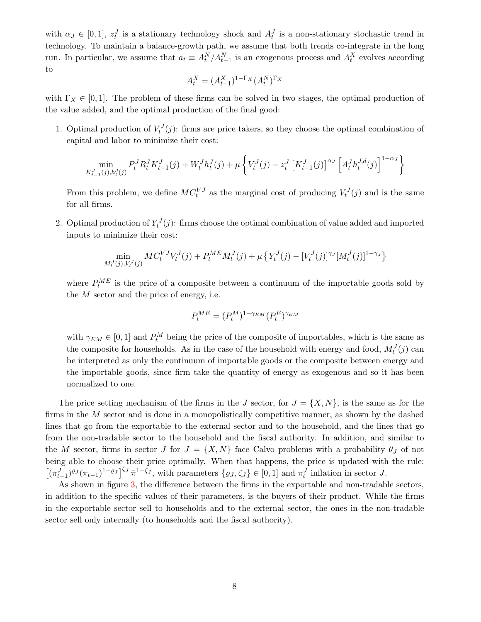with  $\alpha_J \in [0,1], z_t^J$  is a stationary technology shock and  $A_t^J$  is a non-stationary stochastic trend in technology. To maintain a balance-growth path, we assume that both trends co-integrate in the long run. In particular, we assume that  $a_t \equiv A_t^N / A_{t-1}^N$  is an exogenous process and  $A_t^X$  evolves according to

$$
A_t^X = (A_{t-1}^X)^{1-\Gamma_X} (A_t^N)^{\Gamma_X}
$$

with  $\Gamma_X \in [0,1]$ . The problem of these firms can be solved in two stages, the optimal production of the value added, and the optimal production of the final good:

1. Optimal production of  $V_t^J(j)$ : firms are price takers, so they choose the optimal combination of capital and labor to minimize their cost:

$$
\min_{K_{t-1}^J(j), h_t^d(j)} P_t^J R_t^J K_{t-1}^J(j) + W_t^J h_t^J(j) + \mu \left\{ V_t^J(j) - z_t^J \left[ K_{t-1}^J(j) \right]^{\alpha_J} \left[ A_t^J h_t^{J,d}(j) \right]^{1-\alpha_J} \right\}
$$

From this problem, we define  $MC_t^{VJ}$  as the marginal cost of producing  $V_t^J(j)$  and is the same for all firms.

2. Optimal production of  $Y_t^J(j)$ : firms choose the optimal combination of value added and imported inputs to minimize their cost:

$$
\min_{M_t^J(j), V_t^J(j)} MC_t^{VJ}V_t^J(j) + P_t^{ME}M_t^J(j) + \mu \left\{ Y_t^J(j) - [V_t^J(j)]^{\gamma_J} [M_t^J(j)]^{1-\gamma_J} \right\}
$$

where  $P_t^{ME}$  is the price of a composite between a continuum of the importable goods sold by the  $M$  sector and the price of energy, i.e.

$$
P_t^{ME} = (P_t^M)^{1 - \gamma_{EM}} (P_t^E)^{\gamma_{EM}}
$$

with  $\gamma_{EM} \in [0,1]$  and  $P_t^M$  being the price of the composite of importables, which is the same as the composite for households. As in the case of the household with energy and food,  $M_t^J(j)$  can be interpreted as only the continuum of importable goods or the composite between energy and the importable goods, since firm take the quantity of energy as exogenous and so it has been normalized to one.

The price setting mechanism of the firms in the J sector, for  $J = \{X, N\}$ , is the same as for the firms in the M sector and is done in a monopolistically competitive manner, as shown by the dashed lines that go from the exportable to the external sector and to the household, and the lines that go from the non-tradable sector to the household and the fiscal authority. In addition, and similar to the M sector, firms in sector J for  $J = \{X, N\}$  face Calvo problems with a probability  $\theta_J$  of not being able to choose their price optimally. When that happens, the price is updated with the rule:  $[(\pi_{t-1}^J)^{\varrho_J}(\pi_{t-1})^{1-\varrho_J}]^{\zeta_J} \bar{\pi}^{1-\zeta_J}$ , with parameters  $\{\varrho_J, \zeta_J\} \in [0,1]$  and  $\pi_t^J$  inflation in sector J.

As shown in figure 3, the difference between the firms in the exportable and non-tradable sectors, in addition to the specific values of their parameters, is the buyers of their product. While the firms in the exportable sector sell to households and to the external sector, the ones in the non-tradable sector sell only internally (to households and the fiscal authority).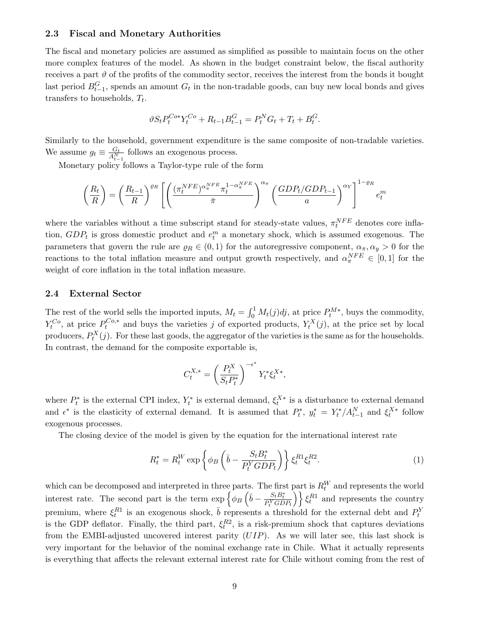#### 2.3 Fiscal and Monetary Authorities

The fiscal and monetary policies are assumed as simplified as possible to maintain focus on the other more complex features of the model. As shown in the budget constraint below, the fiscal authority receives a part  $\vartheta$  of the profits of the commodity sector, receives the interest from the bonds it bought last period  $B_{t-1}^G$ , spends an amount  $G_t$  in the non-tradable goods, can buy new local bonds and gives transfers to households,  $T_t$ .

$$
\vartheta S_t P_t^{Co*} Y_t^{Co} + R_{t-1} B_{t-1}^G = P_t^N G_t + T_t + B_t^G.
$$

Similarly to the household, government expenditure is the same composite of non-tradable varieties. We assume  $g_t \equiv \frac{G_t}{A_{t-1}^N}$  follows an exogenous process.

Monetary policy follows a Taylor-type rule of the form

$$
\left(\frac{R_t}{R}\right) = \left(\frac{R_{t-1}}{R}\right)^{\varrho_R} \left[ \left(\frac{(\pi_t^{NFE})^{\alpha_{\pi}^{NFE}} \pi_t^{1-\alpha_{\pi}^{NFE}}}{\bar{\pi}}\right)^{\alpha_{\pi}} \left(\frac{GDP_t/GDP_{t-1}}{a}\right)^{\alpha_Y}\right]^{1-\varrho_R} e_t^m
$$

where the variables without a time subscript stand for steady-state values,  $\pi_t^{NFE}$  denotes core inflation,  $GDP_t$  is gross domestic product and  $e_t^m$  a monetary shock, which is assumed exogenous. The parameters that govern the rule are  $\varrho_R \in (0,1)$  for the autoregressive component,  $\alpha_{\pi}, \alpha_{\nu} > 0$  for the reactions to the total inflation measure and output growth respectively, and  $\alpha_{\pi}^{NFE} \in [0,1]$  for the weight of core inflation in the total inflation measure.

#### 2.4 External Sector

The rest of the world sells the imported inputs,  $M_t = \int_0^1 M_t(j)dj$ , at price  $P_t^{M*}$ , buys the commodity,  $Y_t^{Co}$ , at price  $P_t^{Co,*}$  $t^{C_{o,*}}$  and buys the varieties j of exported products,  $Y_t^X(j)$ , at the price set by local producers,  $P_t^X(j)$ . For these last goods, the aggregator of the varieties is the same as for the households. In contrast, the demand for the composite exportable is,

$$
C_t^{X,*} = \left(\frac{P_t^X}{S_t P_t^*}\right)^{-\epsilon^*} Y_t^* \xi_t^{X*},
$$

where  $P_t^*$  is the external CPI index,  $Y_t^*$  is external demand,  $\xi_t^{X*}$  is a disturbance to external demand and  $\epsilon^*$  is the elasticity of external demand. It is assumed that  $P_t^*$ ,  $y_t^* = Y_t^* / A_{t-1}^N$  and  $\xi_t^{X*}$  follow exogenous processes.

The closing device of the model is given by the equation for the international interest rate

$$
R_t^* = R_t^W \exp\left\{\phi_B \left(\bar{b} - \frac{S_t B_t^*}{P_t^Y G D P_t}\right)\right\} \xi_t^{R1} \xi_t^{R2}.
$$
 (1)

which can be decomposed and interpreted in three parts. The first part is  $R_t^W$  and represents the world interest rate. The second part is the term  $\exp\left\{\phi_B\left(\bar{b} - \frac{S_t B_t^*}{P_t^Y G D P_t}\right)\right\} \xi_t^{R1}$  and represents the country premium, where  $\xi_t^{R1}$  is an exogenous shock,  $\bar{b}$  represents a threshold for the external debt and  $P_t^Y$ is the GDP deflator. Finally, the third part,  $\xi_t^{R2}$ , is a risk-premium shock that captures deviations from the EMBI-adjusted uncovered interest parity (UIP). As we will later see, this last shock is very important for the behavior of the nominal exchange rate in Chile. What it actually represents is everything that affects the relevant external interest rate for Chile without coming from the rest of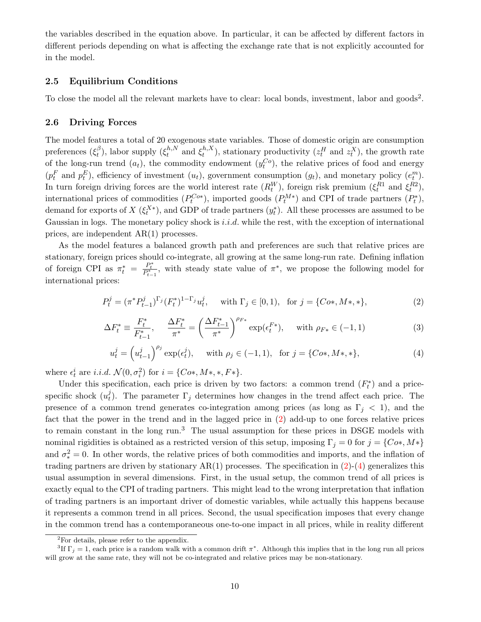the variables described in the equation above. In particular, it can be affected by different factors in different periods depending on what is affecting the exchange rate that is not explicitly accounted for in the model.

#### 2.5 Equilibrium Conditions

To close the model all the relevant markets have to clear: local bonds, investment, labor and goods<sup>2</sup>.

#### 2.6 Driving Forces

The model features a total of 20 exogenous state variables. Those of domestic origin are consumption preferences  $(\xi_t^\beta$  $(t_t^{\beta})$ , labor supply  $(\xi_t^{h,N})$  $t^{h,N}_t$  and  $\xi^{h,X}_t$  $_{t}^{h,X}$ ), stationary productivity  $(z_t^H \text{ and } z_t^X)$ , the growth rate of the long-run trend  $(a_t)$ , the commodity endowment  $(y_t^{Co})$ , the relative prices of food and energy  $(p_t^F \text{ and } p_t^E)$ , efficiency of investment  $(u_t)$ , government consumption  $(g_t)$ , and monetary policy  $(e_t^m)$ . In turn foreign driving forces are the world interest rate  $(R_t^W)$ , foreign risk premium  $(\xi_t^{R1}$  and  $\xi_t^{R2})$ , international prices of commodities  $(P_t^{C_{o*}})$ , imported goods  $(P_t^{M*})$  and CPI of trade partners  $(P_t^*)$ , demand for exports of  $X(\xi_t^{X*})$ , and GDP of trade partners  $(y_t^*)$ . All these processes are assumed to be Gaussian in logs. The monetary policy shock is  $i.i.d.$  while the rest, with the exception of international prices, are independent AR(1) processes.

As the model features a balanced growth path and preferences are such that relative prices are stationary, foreign prices should co-integrate, all growing at the same long-run rate. Defining inflation of foreign CPI as  $\pi_t^* = \frac{P_t^*}{P_{t-1}^*}$ , with steady state value of  $\pi^*$ , we propose the following model for international prices:

$$
P_t^j = (\pi^* P_{t-1}^j)^{\Gamma_j} (F_t^*)^{1-\Gamma_j} u_t^j, \quad \text{ with } \Gamma_j \in [0,1), \text{ for } j = \{C_{0^*}, M_*, * \},
$$
 (2)

$$
\Delta F_t^* \equiv \frac{F_t^*}{F_{t-1}^*}, \quad \frac{\Delta F_t^*}{\pi^*} = \left(\frac{\Delta F_{t-1}^*}{\pi^*}\right)^{\rho_{F*}} \exp(\epsilon_t^{F*}), \quad \text{with } \rho_{F*} \in (-1, 1)
$$
 (3)

$$
u_t^j = \left(u_{t-1}^j\right)^{\rho_j} \exp(\epsilon_t^j), \quad \text{ with } \rho_j \in (-1, 1), \text{ for } j = \{C_{0^*, M^*, *}\},\tag{4}
$$

where  $\epsilon_t^i$  are *i.i.d.*  $\mathcal{N}(0, \sigma_i^2)$  for  $i = \{C_{o*,M*,*,F*}\}.$ 

Under this specification, each price is driven by two factors: a common trend  $(F_t^*)$  and a pricespecific shock  $(u_t^j)$ <sup>f</sup><sub>t</sub>). The parameter  $\Gamma_j$  determines how changes in the trend affect each price. The presence of a common trend generates co-integration among prices (as long as  $\Gamma_i < 1$ ), and the fact that the power in the trend and in the lagged price in (2) add-up to one forces relative prices to remain constant in the long run.<sup>3</sup> The usual assumption for these prices in DSGE models with nominal rigidities is obtained as a restricted version of this setup, imposing  $\Gamma_j = 0$  for  $j = \{C_{i}, M^*\}$ and  $\sigma_*^2 = 0$ . In other words, the relative prices of both commodities and imports, and the inflation of trading partners are driven by stationary  $AR(1)$  processes. The specification in  $(2)-(4)$  generalizes this usual assumption in several dimensions. First, in the usual setup, the common trend of all prices is exactly equal to the CPI of trading partners. This might lead to the wrong interpretation that inflation of trading partners is an important driver of domestic variables, while actually this happens because it represents a common trend in all prices. Second, the usual specification imposes that every change in the common trend has a contemporaneous one-to-one impact in all prices, while in reality different

<sup>2</sup>For details, please refer to the appendix.

<sup>&</sup>lt;sup>3</sup>If  $\Gamma_j = 1$ , each price is a random walk with a common drift  $\pi^*$ . Although this implies that in the long run all prices will grow at the same rate, they will not be co-integrated and relative prices may be non-stationary.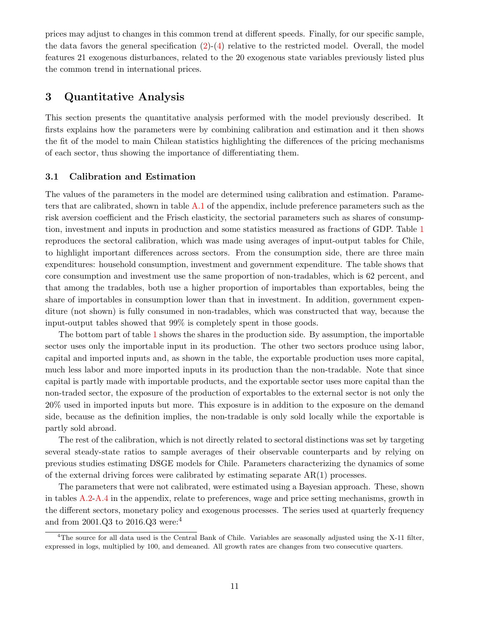prices may adjust to changes in this common trend at different speeds. Finally, for our specific sample, the data favors the general specification  $(2)-(4)$  relative to the restricted model. Overall, the model features 21 exogenous disturbances, related to the 20 exogenous state variables previously listed plus the common trend in international prices.

## 3 Quantitative Analysis

This section presents the quantitative analysis performed with the model previously described. It firsts explains how the parameters were by combining calibration and estimation and it then shows the fit of the model to main Chilean statistics highlighting the differences of the pricing mechanisms of each sector, thus showing the importance of differentiating them.

#### 3.1 Calibration and Estimation

The values of the parameters in the model are determined using calibration and estimation. Parameters that are calibrated, shown in table A.1 of the appendix, include preference parameters such as the risk aversion coefficient and the Frisch elasticity, the sectorial parameters such as shares of consumption, investment and inputs in production and some statistics measured as fractions of GDP. Table 1 reproduces the sectoral calibration, which was made using averages of input-output tables for Chile, to highlight important differences across sectors. From the consumption side, there are three main expenditures: household consumption, investment and government expenditure. The table shows that core consumption and investment use the same proportion of non-tradables, which is 62 percent, and that among the tradables, both use a higher proportion of importables than exportables, being the share of importables in consumption lower than that in investment. In addition, government expenditure (not shown) is fully consumed in non-tradables, which was constructed that way, because the input-output tables showed that 99% is completely spent in those goods.

The bottom part of table 1 shows the shares in the production side. By assumption, the importable sector uses only the importable input in its production. The other two sectors produce using labor, capital and imported inputs and, as shown in the table, the exportable production uses more capital, much less labor and more imported inputs in its production than the non-tradable. Note that since capital is partly made with importable products, and the exportable sector uses more capital than the non-traded sector, the exposure of the production of exportables to the external sector is not only the 20% used in imported inputs but more. This exposure is in addition to the exposure on the demand side, because as the definition implies, the non-tradable is only sold locally while the exportable is partly sold abroad.

The rest of the calibration, which is not directly related to sectoral distinctions was set by targeting several steady-state ratios to sample averages of their observable counterparts and by relying on previous studies estimating DSGE models for Chile. Parameters characterizing the dynamics of some of the external driving forces were calibrated by estimating separate  $AR(1)$  processes.

The parameters that were not calibrated, were estimated using a Bayesian approach. These, shown in tables A.2-A.4 in the appendix, relate to preferences, wage and price setting mechanisms, growth in the different sectors, monetary policy and exogenous processes. The series used at quarterly frequency and from 2001.Q3 to 2016.Q3 were:<sup>4</sup>

<sup>&</sup>lt;sup>4</sup>The source for all data used is the Central Bank of Chile. Variables are seasonally adjusted using the X-11 filter, expressed in logs, multiplied by 100, and demeaned. All growth rates are changes from two consecutive quarters.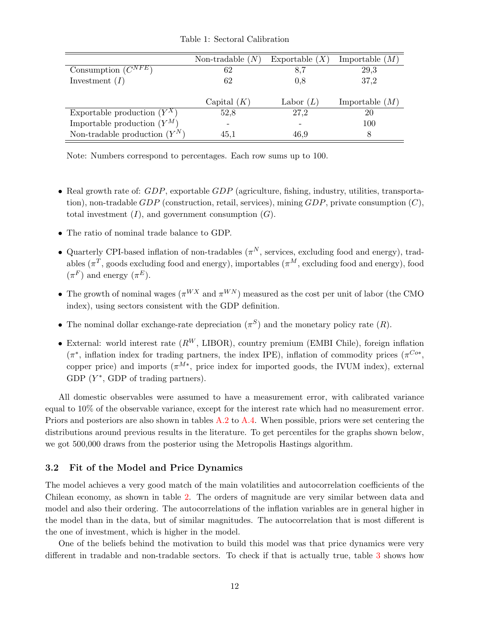|                                 | Non-tradable $(N)$ | Exportable $(X)$ | Importable $(M)$ |
|---------------------------------|--------------------|------------------|------------------|
| Consumption $(C^{NFE})$         | 62                 | 8,7              | 29,3             |
| Investment $(I)$                | 62                 | 0.8              | 37,2             |
|                                 | Capital $(K)$      | Labor $(L)$      | Importable $(M)$ |
| Exportable production $(Y^X)$   | 52,8               | 27,2             | 20               |
| Importable production $(Y^M)$   |                    |                  | 100              |
| Non-tradable production $(Y^N)$ | 45,1               | 46,9             | 8                |

Table 1: Sectoral Calibration

Note: Numbers correspond to percentages. Each row sums up to 100.

- Real growth rate of: GDP, exportable GDP (agriculture, fishing, industry, utilities, transportation), non-tradable  $GDP$  (construction, retail, services), mining  $GDP$ , private consumption  $(C)$ , total investment  $(I)$ , and government consumption  $(G)$ .
- The ratio of nominal trade balance to GDP.
- Quarterly CPI-based inflation of non-tradables  $(\pi^N)$ , services, excluding food and energy), tradables ( $\pi^T$ , goods excluding food and energy), importables ( $\pi^M$ , excluding food and energy), food  $(\pi^F)$  and energy  $(\pi^E)$ .
- The growth of nominal wages ( $\pi^{WX}$  and  $\pi^{WN}$ ) measured as the cost per unit of labor (the CMO index), using sectors consistent with the GDP definition.
- The nominal dollar exchange-rate depreciation  $(\pi^S)$  and the monetary policy rate  $(R)$ .
- External: world interest rate  $(R^W, \text{LIBOR})$ , country premium (EMBI Chile), foreign inflation  $(\pi^*)$ , inflation index for trading partners, the index IPE), inflation of commodity prices  $(\pi^{C_{o*}},$ copper price) and imports  $(\pi^{M*},\)$  price index for imported goods, the IVUM index), external GDP  $(Y^*,$  GDP of trading partners).

All domestic observables were assumed to have a measurement error, with calibrated variance equal to 10% of the observable variance, except for the interest rate which had no measurement error. Priors and posteriors are also shown in tables A.2 to A.4. When possible, priors were set centering the distributions around previous results in the literature. To get percentiles for the graphs shown below, we got 500,000 draws from the posterior using the Metropolis Hastings algorithm.

#### 3.2 Fit of the Model and Price Dynamics

The model achieves a very good match of the main volatilities and autocorrelation coefficients of the Chilean economy, as shown in table 2. The orders of magnitude are very similar between data and model and also their ordering. The autocorrelations of the inflation variables are in general higher in the model than in the data, but of similar magnitudes. The autocorrelation that is most different is the one of investment, which is higher in the model.

One of the beliefs behind the motivation to build this model was that price dynamics were very different in tradable and non-tradable sectors. To check if that is actually true, table 3 shows how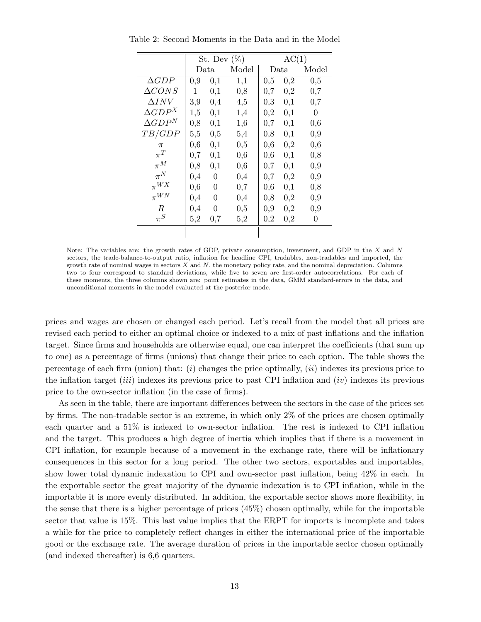|                  | St. Dev $(\%)$ |          |       | AC(1) |          |          |
|------------------|----------------|----------|-------|-------|----------|----------|
|                  | Data           |          | Model | Data  |          | Model    |
| $\Delta GDP$     | $_{0,9}$       | 0,1      | 1,1   | 0,5   | 0,2      | 0,5      |
| $\Delta CONS$    | 1              | 0,1      | 0,8   | 0,7   | 0,2      | 0,7      |
| $\Delta{INV}$    | 3,9            | 0,4      | 4,5   | 0,3   | 0,1      | $_{0,7}$ |
| $\Delta GDP^{X}$ | 1,5            | 0,1      | 1,4   | 0,2   | 0,1      | 0        |
| $\Delta GDP^N$   | 0,8            | 0,1      | 1,6   | 0,7   | 0,1      | 0,6      |
| TB/GDP           | 5,5            | $_{0,5}$ | 5,4   | 0,8   | 0,1      | $_{0,9}$ |
| $\pi$            | 0,6            | 0,1      | 0,5   | 0,6   | $_{0,2}$ | 0,6      |
| $\pi^T$          | 0,7            | 0,1      | 0,6   | 0,6   | 0,1      | 0,8      |
| $\pi^M$          | 0,8            | 0,1      | 0,6   | 0,7   | 0,1      | 0,9      |
| $\pi^N$          | 0,4            | $\Omega$ | 0,4   | 0,7   | 0,2      | 0,9      |
| $\pi^{WX}$       | 0,6            | 0        | 0,7   | 0,6   | 0,1      | 0,8      |
| $\pi^{WN}$       | 0,4            | 0        | 0,4   | 0,8   | 0,2      | 0,9      |
| R                | 0,4            | 0        | 0,5   | 0,9   | 0,2      | 0,9      |
| $\pi^S$          | 5,2            | 0,7      | 5,2   | 0,2   | $_{0,2}$ | 0        |
|                  |                |          |       |       |          |          |

Table 2: Second Moments in the Data and in the Model

Note: The variables are: the growth rates of GDP, private consumption, investment, and GDP in the X and N sectors, the trade-balance-to-output ratio, inflation for headline CPI, tradables, non-tradables and imported, the growth rate of nominal wages in sectors  $X$  and  $N$ , the monetary policy rate, and the nominal depreciation. Columns two to four correspond to standard deviations, while five to seven are first-order autocorrelations. For each of these moments, the three columns shown are: point estimates in the data, GMM standard-errors in the data, and unconditional moments in the model evaluated at the posterior mode.

prices and wages are chosen or changed each period. Let's recall from the model that all prices are revised each period to either an optimal choice or indexed to a mix of past inflations and the inflation target. Since firms and households are otherwise equal, one can interpret the coefficients (that sum up to one) as a percentage of firms (unions) that change their price to each option. The table shows the percentage of each firm (union) that:  $(i)$  changes the price optimally,  $(ii)$  indexes its previous price to the inflation target *(iii)* indexes its previous price to past CPI inflation and *(iv)* indexes its previous price to the own-sector inflation (in the case of firms).

As seen in the table, there are important differences between the sectors in the case of the prices set by firms. The non-tradable sector is an extreme, in which only 2% of the prices are chosen optimally each quarter and a 51% is indexed to own-sector inflation. The rest is indexed to CPI inflation and the target. This produces a high degree of inertia which implies that if there is a movement in CPI inflation, for example because of a movement in the exchange rate, there will be inflationary consequences in this sector for a long period. The other two sectors, exportables and importables, show lower total dynamic indexation to CPI and own-sector past inflation, being 42% in each. In the exportable sector the great majority of the dynamic indexation is to CPI inflation, while in the importable it is more evenly distributed. In addition, the exportable sector shows more flexibility, in the sense that there is a higher percentage of prices (45%) chosen optimally, while for the importable sector that value is 15%. This last value implies that the ERPT for imports is incomplete and takes a while for the price to completely reflect changes in either the international price of the importable good or the exchange rate. The average duration of prices in the importable sector chosen optimally (and indexed thereafter) is 6,6 quarters.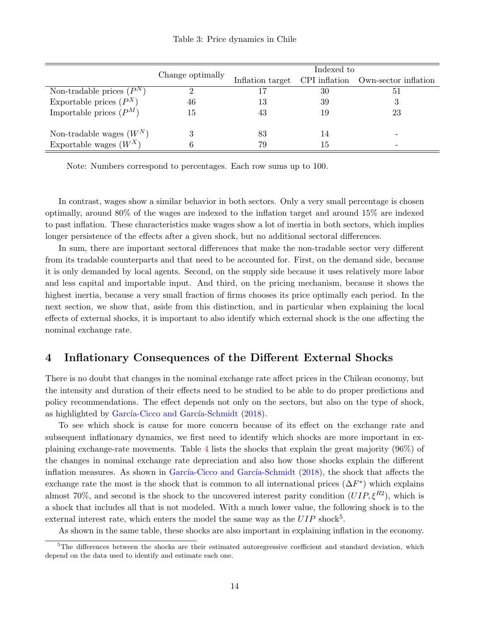Indexed to<br>Inflation target CPI inflation Own-sector inflation Non-tradable prices  $(P^N)$  $\binom{N}{1}$  2 17 30 51 Exportable prices  $(P^X)$  $(X)$  46 13 39 3 Importable prices  $(P^M)$  15 43 19 23 Non-tradable wages  $(W^N)$  3 83 14 Exportable wages  $(W^X)$  6 79 79 15

Table 3: Price dynamics in Chile

Note: Numbers correspond to percentages. Each row sums up to 100.

In contrast, wages show a similar behavior in both sectors. Only a very small percentage is chosen optimally, around 80% of the wages are indexed to the inflation target and around 15% are indexed to past inflation. These characteristics make wages show a lot of inertia in both sectors, which implies longer persistence of the effects after a given shock, but no additional sectoral differences.

In sum, there are important sectoral differences that make the non-tradable sector very different from its tradable counterparts and that need to be accounted for. First, on the demand side, because it is only demanded by local agents. Second, on the supply side because it uses relatively more labor and less capital and importable input. And third, on the pricing mechanism, because it shows the highest inertia, because a very small fraction of firms chooses its price optimally each period. In the next section, we show that, aside from this distinction, and in particular when explaining the local effects of external shocks, it is important to also identify which external shock is the one affecting the nominal exchange rate.

## 4 Inflationary Consequences of the Different External Shocks

There is no doubt that changes in the nominal exchange rate affect prices in the Chilean economy, but the intensity and duration of their effects need to be studied to be able to do proper predictions and policy recommendations. The effect depends not only on the sectors, but also on the type of shock, as highlighted by García-Cicco and García-Schmidt (2018).

To see which shock is cause for more concern because of its effect on the exchange rate and subsequent inflationary dynamics, we first need to identify which shocks are more important in explaining exchange-rate movements. Table 4 lists the shocks that explain the great majority (96%) of the changes in nominal exchange rate depreciation and also how those shocks explain the different inflation measures. As shown in García-Cicco and García-Schmidt  $(2018)$ , the shock that affects the exchange rate the most is the shock that is common to all international prices  $(\Delta F^*)$  which explains almost 70%, and second is the shock to the uncovered interest parity condition  $(UIP, \xi^{R2})$ , which is a shock that includes all that is not modeled. With a much lower value, the following shock is to the external interest rate, which enters the model the same way as the  $UIP$  shock<sup>5</sup>.

As shown in the same table, these shocks are also important in explaining inflation in the economy.

 $5$ The differences between the shocks are their estimated autoregressive coefficient and standard deviation, which depend on the data used to identify and estimate each one.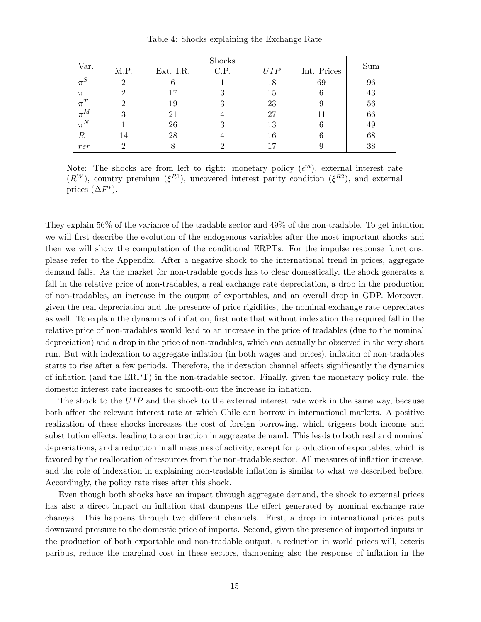Table 4: Shocks explaining the Exchange Rate

| Var.                |      |           | Shocks |     |             | Sum |
|---------------------|------|-----------|--------|-----|-------------|-----|
|                     | M.P. | Ext. I.R. | C.P.   | UIP | Int. Prices |     |
| $\pi^{\mathcal{S}}$ |      |           |        | 18  | 69          | 96  |
| $\pi$               |      |           | 3      | 15  | 6           | 43  |
| $\pi^T$             |      | 19        | 3      | 23  |             | 56  |
| $\pi^M$             |      | 21        |        | 27  | 11          | 66  |
| $\pi^N$             |      | 26        | 3      | 13  |             | 49  |
| $_{\it R}$          | 14   | 28        |        | 16  |             | 68  |
| rer                 |      |           |        |     |             | 38  |

Note: The shocks are from left to right: monetary policy  $(\epsilon^m)$ , external interest rate  $(R^{W})$ , country premium  $(\xi^{R1})$ , uncovered interest parity condition  $(\xi^{R2})$ , and external prices  $(\Delta F^*)$ .

They explain 56% of the variance of the tradable sector and 49% of the non-tradable. To get intuition we will first describe the evolution of the endogenous variables after the most important shocks and then we will show the computation of the conditional ERPTs. For the impulse response functions, please refer to the Appendix. After a negative shock to the international trend in prices, aggregate demand falls. As the market for non-tradable goods has to clear domestically, the shock generates a fall in the relative price of non-tradables, a real exchange rate depreciation, a drop in the production of non-tradables, an increase in the output of exportables, and an overall drop in GDP. Moreover, given the real depreciation and the presence of price rigidities, the nominal exchange rate depreciates as well. To explain the dynamics of inflation, first note that without indexation the required fall in the relative price of non-tradables would lead to an increase in the price of tradables (due to the nominal depreciation) and a drop in the price of non-tradables, which can actually be observed in the very short run. But with indexation to aggregate inflation (in both wages and prices), inflation of non-tradables starts to rise after a few periods. Therefore, the indexation channel affects significantly the dynamics of inflation (and the ERPT) in the non-tradable sector. Finally, given the monetary policy rule, the domestic interest rate increases to smooth-out the increase in inflation.

The shock to the UIP and the shock to the external interest rate work in the same way, because both affect the relevant interest rate at which Chile can borrow in international markets. A positive realization of these shocks increases the cost of foreign borrowing, which triggers both income and substitution effects, leading to a contraction in aggregate demand. This leads to both real and nominal depreciations, and a reduction in all measures of activity, except for production of exportables, which is favored by the reallocation of resources from the non-tradable sector. All measures of inflation increase, and the role of indexation in explaining non-tradable inflation is similar to what we described before. Accordingly, the policy rate rises after this shock.

Even though both shocks have an impact through aggregate demand, the shock to external prices has also a direct impact on inflation that dampens the effect generated by nominal exchange rate changes. This happens through two different channels. First, a drop in international prices puts downward pressure to the domestic price of imports. Second, given the presence of imported inputs in the production of both exportable and non-tradable output, a reduction in world prices will, ceteris paribus, reduce the marginal cost in these sectors, dampening also the response of inflation in the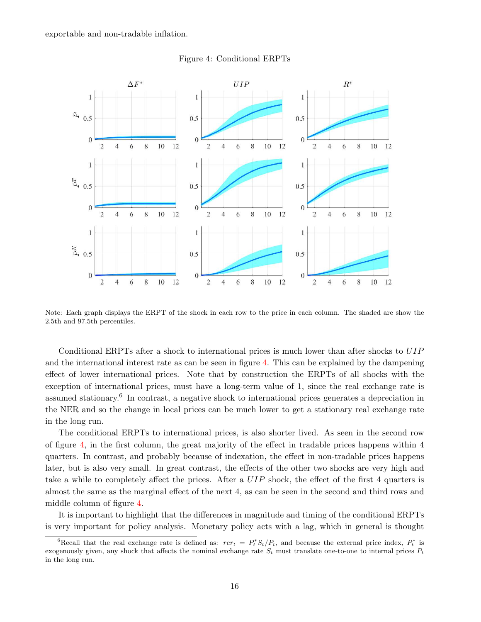exportable and non-tradable inflation.



Figure 4: Conditional ERPTs

Note: Each graph displays the ERPT of the shock in each row to the price in each column. The shaded are show the 2.5th and 97.5th percentiles.

Conditional ERPTs after a shock to international prices is much lower than after shocks to UIP and the international interest rate as can be seen in figure 4. This can be explained by the dampening effect of lower international prices. Note that by construction the ERPTs of all shocks with the exception of international prices, must have a long-term value of 1, since the real exchange rate is assumed stationary.<sup>6</sup> In contrast, a negative shock to international prices generates a depreciation in the NER and so the change in local prices can be much lower to get a stationary real exchange rate in the long run.

The conditional ERPTs to international prices, is also shorter lived. As seen in the second row of figure 4, in the first column, the great majority of the effect in tradable prices happens within 4 quarters. In contrast, and probably because of indexation, the effect in non-tradable prices happens later, but is also very small. In great contrast, the effects of the other two shocks are very high and take a while to completely affect the prices. After a UIP shock, the effect of the first 4 quarters is almost the same as the marginal effect of the next 4, as can be seen in the second and third rows and middle column of figure 4.

It is important to highlight that the differences in magnitude and timing of the conditional ERPTs is very important for policy analysis. Monetary policy acts with a lag, which in general is thought

<sup>&</sup>lt;sup>6</sup>Recall that the real exchange rate is defined as:  $rer_t = P_t^* S_t / P_t$ , and because the external price index,  $P_t^*$  is exogenously given, any shock that affects the nominal exchange rate  $S_t$  must translate one-to-one to internal prices  $P_t$ in the long run.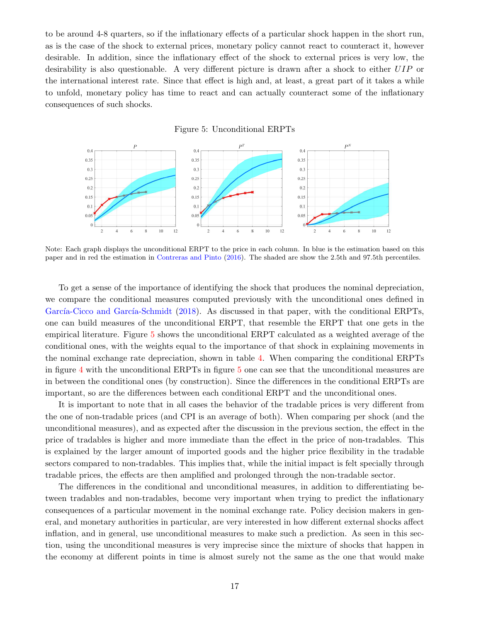to be around 4-8 quarters, so if the inflationary effects of a particular shock happen in the short run, as is the case of the shock to external prices, monetary policy cannot react to counteract it, however desirable. In addition, since the inflationary effect of the shock to external prices is very low, the desirability is also questionable. A very different picture is drawn after a shock to either UIP or the international interest rate. Since that effect is high and, at least, a great part of it takes a while to unfold, monetary policy has time to react and can actually counteract some of the inflationary consequences of such shocks.



Note: Each graph displays the unconditional ERPT to the price in each column. In blue is the estimation based on this paper and in red the estimation in Contreras and Pinto (2016). The shaded are show the 2.5th and 97.5th percentiles.

To get a sense of the importance of identifying the shock that produces the nominal depreciation, we compare the conditional measures computed previously with the unconditional ones defined in García-Cicco and García-Schmidt (2018). As discussed in that paper, with the conditional ERPTs, one can build measures of the unconditional ERPT, that resemble the ERPT that one gets in the empirical literature. Figure 5 shows the unconditional ERPT calculated as a weighted average of the conditional ones, with the weights equal to the importance of that shock in explaining movements in the nominal exchange rate depreciation, shown in table 4. When comparing the conditional ERPTs in figure 4 with the unconditional ERPTs in figure 5 one can see that the unconditional measures are in between the conditional ones (by construction). Since the differences in the conditional ERPTs are important, so are the differences between each conditional ERPT and the unconditional ones.

It is important to note that in all cases the behavior of the tradable prices is very different from the one of non-tradable prices (and CPI is an average of both). When comparing per shock (and the unconditional measures), and as expected after the discussion in the previous section, the effect in the price of tradables is higher and more immediate than the effect in the price of non-tradables. This is explained by the larger amount of imported goods and the higher price flexibility in the tradable sectors compared to non-tradables. This implies that, while the initial impact is felt specially through tradable prices, the effects are then amplified and prolonged through the non-tradable sector.

The differences in the conditional and unconditional measures, in addition to differentiating between tradables and non-tradables, become very important when trying to predict the inflationary consequences of a particular movement in the nominal exchange rate. Policy decision makers in general, and monetary authorities in particular, are very interested in how different external shocks affect inflation, and in general, use unconditional measures to make such a prediction. As seen in this section, using the unconditional measures is very imprecise since the mixture of shocks that happen in the economy at different points in time is almost surely not the same as the one that would make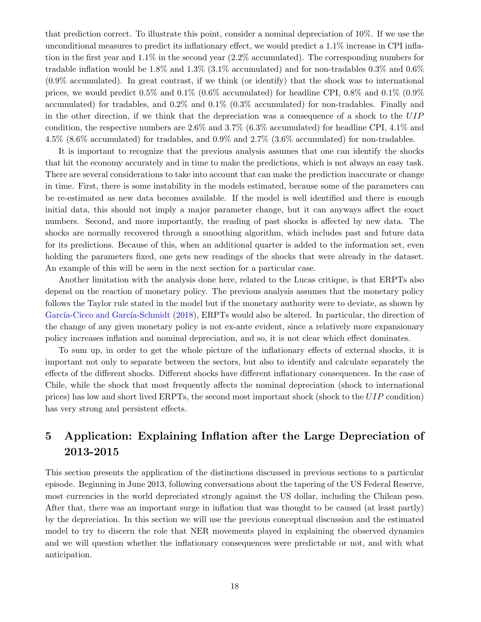that prediction correct. To illustrate this point, consider a nominal depreciation of 10%. If we use the unconditional measures to predict its inflationary effect, we would predict a 1.1% increase in CPI inflation in the first year and 1.1% in the second year (2.2% accumulated). The corresponding numbers for tradable inflation would be 1.8% and 1.3% (3.1% accumulated) and for non-tradables 0.3% and 0.6% (0.9% accumulated). In great contrast, if we think (or identify) that the shock was to international prices, we would predict  $0.5\%$  and  $0.1\%$  (0.6% accumulated) for headline CPI, 0.8% and 0.1% (0.9%) accumulated) for tradables, and 0.2% and 0.1% (0.3% accumulated) for non-tradables. Finally and in the other direction, if we think that the depreciation was a consequence of a shock to the UIP condition, the respective numbers are 2.6% and 3.7% (6.3% accumulated) for headline CPI, 4.1% and 4.5% (8.6% accumulated) for tradables, and 0.9% and 2.7% (3.6% accumulated) for non-tradables.

It is important to recognize that the previous analysis assumes that one can identify the shocks that hit the economy accurately and in time to make the predictions, which is not always an easy task. There are several considerations to take into account that can make the prediction inaccurate or change in time. First, there is some instability in the models estimated, because some of the parameters can be re-estimated as new data becomes available. If the model is well identified and there is enough initial data, this should not imply a major parameter change, but it can anyways affect the exact numbers. Second, and more importantly, the reading of past shocks is affected by new data. The shocks are normally recovered through a smoothing algorithm, which includes past and future data for its predictions. Because of this, when an additional quarter is added to the information set, even holding the parameters fixed, one gets new readings of the shocks that were already in the dataset. An example of this will be seen in the next section for a particular case.

Another limitation with the analysis done here, related to the Lucas critique, is that ERPTs also depend on the reaction of monetary policy. The previous analysis assumes that the monetary policy follows the Taylor rule stated in the model but if the monetary authority were to deviate, as shown by García-Cicco and García-Schmidt (2018), ERPTs would also be altered. In particular, the direction of the change of any given monetary policy is not ex-ante evident, since a relatively more expansionary policy increases inflation and nominal depreciation, and so, it is not clear which effect dominates.

To sum up, in order to get the whole picture of the inflationary effects of external shocks, it is important not only to separate between the sectors, but also to identify and calculate separately the effects of the different shocks. Different shocks have different inflationary consequences. In the case of Chile, while the shock that most frequently affects the nominal depreciation (shock to international prices) has low and short lived ERPTs, the second most important shock (shock to the UIP condition) has very strong and persistent effects.

## 5 Application: Explaining Inflation after the Large Depreciation of 2013-2015

This section presents the application of the distinctions discussed in previous sections to a particular episode. Beginning in June 2013, following conversations about the tapering of the US Federal Reserve, most currencies in the world depreciated strongly against the US dollar, including the Chilean peso. After that, there was an important surge in inflation that was thought to be caused (at least partly) by the depreciation. In this section we will use the previous conceptual discussion and the estimated model to try to discern the role that NER movements played in explaining the observed dynamics and we will question whether the inflationary consequences were predictable or not, and with what anticipation.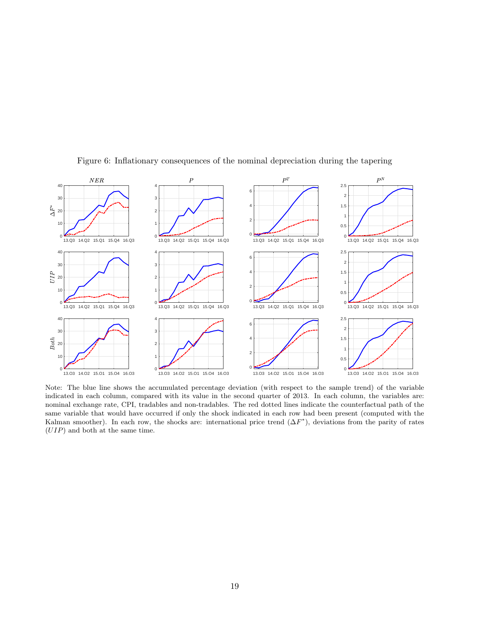

Figure 6: Inflationary consequences of the nominal depreciation during the tapering

Note: The blue line shows the accumulated percentage deviation (with respect to the sample trend) of the variable indicated in each column, compared with its value in the second quarter of 2013. In each column, the variables are: nominal exchange rate, CPI, tradables and non-tradables. The red dotted lines indicate the counterfactual path of the same variable that would have occurred if only the shock indicated in each row had been present (computed with the Kalman smoother). In each row, the shocks are: international price trend  $(\Delta F^*)$ , deviations from the parity of rates (UIP) and both at the same time.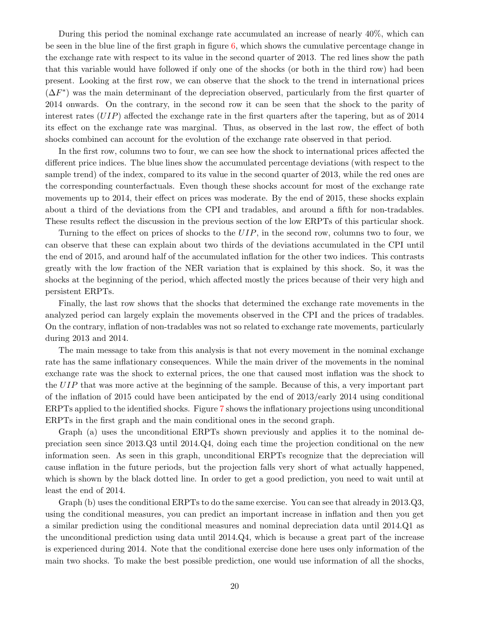During this period the nominal exchange rate accumulated an increase of nearly 40%, which can be seen in the blue line of the first graph in figure  $6$ , which shows the cumulative percentage change in the exchange rate with respect to its value in the second quarter of 2013. The red lines show the path that this variable would have followed if only one of the shocks (or both in the third row) had been present. Looking at the first row, we can observe that the shock to the trend in international prices  $(\Delta F^*)$  was the main determinant of the depreciation observed, particularly from the first quarter of 2014 onwards. On the contrary, in the second row it can be seen that the shock to the parity of interest rates  $(UIP)$  affected the exchange rate in the first quarters after the tapering, but as of 2014 its effect on the exchange rate was marginal. Thus, as observed in the last row, the effect of both shocks combined can account for the evolution of the exchange rate observed in that period.

In the first row, columns two to four, we can see how the shock to international prices affected the different price indices. The blue lines show the accumulated percentage deviations (with respect to the sample trend) of the index, compared to its value in the second quarter of 2013, while the red ones are the corresponding counterfactuals. Even though these shocks account for most of the exchange rate movements up to 2014, their effect on prices was moderate. By the end of 2015, these shocks explain about a third of the deviations from the CPI and tradables, and around a fifth for non-tradables. These results reflect the discussion in the previous section of the low ERPTs of this particular shock.

Turning to the effect on prices of shocks to the UIP, in the second row, columns two to four, we can observe that these can explain about two thirds of the deviations accumulated in the CPI until the end of 2015, and around half of the accumulated inflation for the other two indices. This contrasts greatly with the low fraction of the NER variation that is explained by this shock. So, it was the shocks at the beginning of the period, which affected mostly the prices because of their very high and persistent ERPTs.

Finally, the last row shows that the shocks that determined the exchange rate movements in the analyzed period can largely explain the movements observed in the CPI and the prices of tradables. On the contrary, inflation of non-tradables was not so related to exchange rate movements, particularly during 2013 and 2014.

The main message to take from this analysis is that not every movement in the nominal exchange rate has the same inflationary consequences. While the main driver of the movements in the nominal exchange rate was the shock to external prices, the one that caused most inflation was the shock to the UIP that was more active at the beginning of the sample. Because of this, a very important part of the inflation of 2015 could have been anticipated by the end of 2013/early 2014 using conditional ERPTs applied to the identified shocks. Figure 7 shows the inflationary projections using unconditional ERPTs in the first graph and the main conditional ones in the second graph.

Graph (a) uses the unconditional ERPTs shown previously and applies it to the nominal depreciation seen since 2013.Q3 until 2014.Q4, doing each time the projection conditional on the new information seen. As seen in this graph, unconditional ERPTs recognize that the depreciation will cause inflation in the future periods, but the projection falls very short of what actually happened, which is shown by the black dotted line. In order to get a good prediction, you need to wait until at least the end of 2014.

Graph (b) uses the conditional ERPTs to do the same exercise. You can see that already in 2013.Q3, using the conditional measures, you can predict an important increase in inflation and then you get a similar prediction using the conditional measures and nominal depreciation data until 2014.Q1 as the unconditional prediction using data until 2014.Q4, which is because a great part of the increase is experienced during 2014. Note that the conditional exercise done here uses only information of the main two shocks. To make the best possible prediction, one would use information of all the shocks,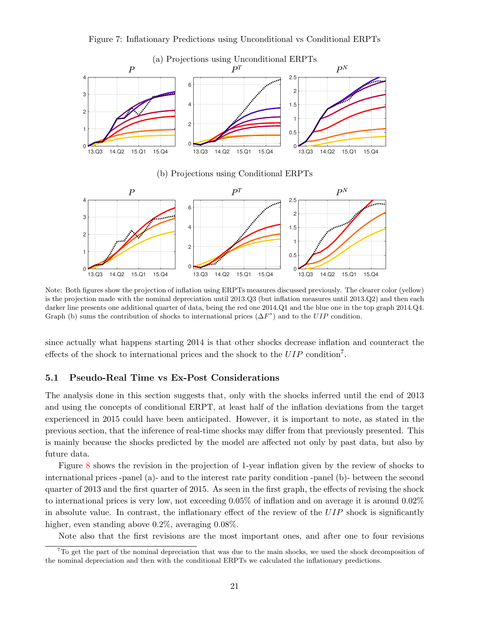



(b) Projections using Conditional ERPTs



Note: Both figures show the projection of inflation using ERPTs measures discussed previously. The clearer color (yellow) is the projection made with the nominal depreciation until 2013.Q3 (but inflation measures until 2013.Q2) and then each darker line presents one additional quarter of data, being the red one 2014.Q1 and the blue one in the top graph 2014.Q4. Graph (b) sums the contribution of shocks to international prices  $(\Delta F^*)$  and to the UIP condition.

since actually what happens starting 2014 is that other shocks decrease inflation and counteract the effects of the shock to international prices and the shock to the UIP condition<sup>7</sup>.

#### 5.1 Pseudo-Real Time vs Ex-Post Considerations

The analysis done in this section suggests that, only with the shocks inferred until the end of 2013 and using the concepts of conditional ERPT, at least half of the inflation deviations from the target experienced in 2015 could have been anticipated. However, it is important to note, as stated in the previous section, that the inference of real-time shocks may differ from that previously presented. This is mainly because the shocks predicted by the model are affected not only by past data, but also by future data.

Figure 8 shows the revision in the projection of 1-year inflation given by the review of shocks to international prices -panel (a)- and to the interest rate parity condition -panel (b)- between the second quarter of 2013 and the first quarter of 2015. As seen in the first graph, the effects of revising the shock to international prices is very low, not exceeding 0.05% of inflation and on average it is around 0.02% in absolute value. In contrast, the inflationary effect of the review of the  $UIP$  shock is significantly higher, even standing above 0.2%, averaging 0.08%.

Note also that the first revisions are the most important ones, and after one to four revisions

 $7T\sigma$  get the part of the nominal depreciation that was due to the main shocks, we used the shock decomposition of the nominal depreciation and then with the conditional ERPTs we calculated the inflationary predictions.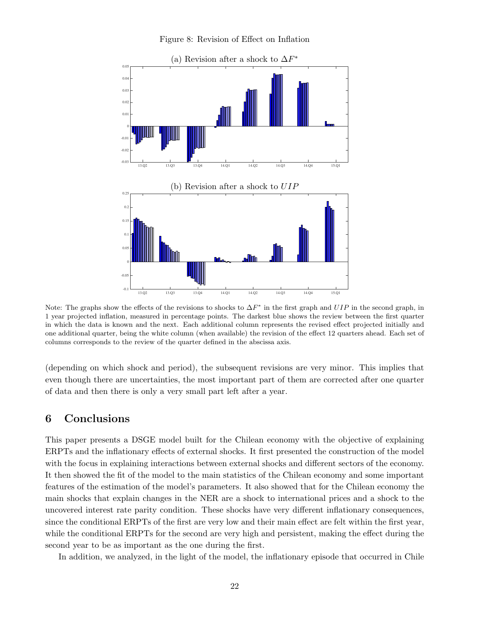Figure 8: Revision of Effect on Inflation



Note: The graphs show the effects of the revisions to shocks to  $\Delta F^*$  in the first graph and  $UIP$  in the second graph, in 1 year projected inflation, measured in percentage points. The darkest blue shows the review between the first quarter in which the data is known and the next. Each additional column represents the revised effect projected initially and one additional quarter, being the white column (when available) the revision of the effect 12 quarters ahead. Each set of columns corresponds to the review of the quarter defined in the abscissa axis.

(depending on which shock and period), the subsequent revisions are very minor. This implies that even though there are uncertainties, the most important part of them are corrected after one quarter of data and then there is only a very small part left after a year.

## 6 Conclusions

This paper presents a DSGE model built for the Chilean economy with the objective of explaining ERPTs and the inflationary effects of external shocks. It first presented the construction of the model with the focus in explaining interactions between external shocks and different sectors of the economy. It then showed the fit of the model to the main statistics of the Chilean economy and some important features of the estimation of the model's parameters. It also showed that for the Chilean economy the main shocks that explain changes in the NER are a shock to international prices and a shock to the uncovered interest rate parity condition. These shocks have very different inflationary consequences, since the conditional ERPTs of the first are very low and their main effect are felt within the first year, while the conditional ERPTs for the second are very high and persistent, making the effect during the second year to be as important as the one during the first.

In addition, we analyzed, in the light of the model, the inflationary episode that occurred in Chile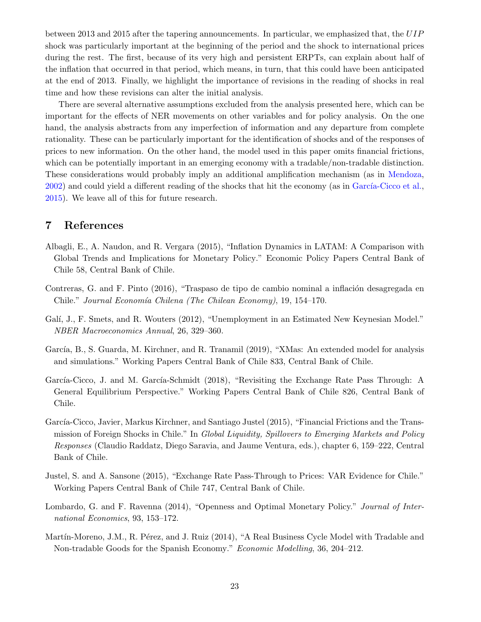between 2013 and 2015 after the tapering announcements. In particular, we emphasized that, the UIP shock was particularly important at the beginning of the period and the shock to international prices during the rest. The first, because of its very high and persistent ERPTs, can explain about half of the inflation that occurred in that period, which means, in turn, that this could have been anticipated at the end of 2013. Finally, we highlight the importance of revisions in the reading of shocks in real time and how these revisions can alter the initial analysis.

There are several alternative assumptions excluded from the analysis presented here, which can be important for the effects of NER movements on other variables and for policy analysis. On the one hand, the analysis abstracts from any imperfection of information and any departure from complete rationality. These can be particularly important for the identification of shocks and of the responses of prices to new information. On the other hand, the model used in this paper omits financial frictions, which can be potentially important in an emerging economy with a tradable/non-tradable distinction. These considerations would probably imply an additional amplification mechanism (as in Mendoza,  $2002$ ) and could yield a different reading of the shocks that hit the economy (as in García-Cicco et al., 2015). We leave all of this for future research.

## 7 References

- Albagli, E., A. Naudon, and R. Vergara (2015), "Inflation Dynamics in LATAM: A Comparison with Global Trends and Implications for Monetary Policy." Economic Policy Papers Central Bank of Chile 58, Central Bank of Chile.
- Contreras, G. and F. Pinto (2016), "Traspaso de tipo de cambio nominal a inflación desagregada en Chile." Journal Economía Chilena (The Chilean Economy), 19, 154–170.
- Galí, J., F. Smets, and R. Wouters (2012), "Unemployment in an Estimated New Keynesian Model." NBER Macroeconomics Annual, 26, 329–360.
- García, B., S. Guarda, M. Kirchner, and R. Tranamil (2019), "XMas: An extended model for analysis and simulations." Working Papers Central Bank of Chile 833, Central Bank of Chile.
- García-Cicco, J. and M. García-Schmidt (2018), "Revisiting the Exchange Rate Pass Through: A General Equilibrium Perspective." Working Papers Central Bank of Chile 826, Central Bank of Chile.
- García-Cicco, Javier, Markus Kirchner, and Santiago Justel (2015), "Financial Frictions and the Transmission of Foreign Shocks in Chile." In Global Liquidity, Spillovers to Emerging Markets and Policy Responses (Claudio Raddatz, Diego Saravia, and Jaume Ventura, eds.), chapter 6, 159–222, Central Bank of Chile.
- Justel, S. and A. Sansone (2015), "Exchange Rate Pass-Through to Prices: VAR Evidence for Chile." Working Papers Central Bank of Chile 747, Central Bank of Chile.
- Lombardo, G. and F. Ravenna (2014), "Openness and Optimal Monetary Policy." Journal of International Economics, 93, 153–172.
- Martín-Moreno, J.M., R. Pérez, and J. Ruiz (2014), "A Real Business Cycle Model with Tradable and Non-tradable Goods for the Spanish Economy." Economic Modelling, 36, 204–212.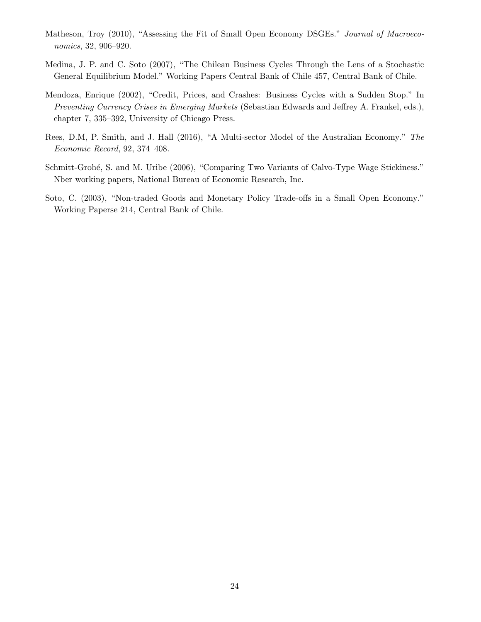- Matheson, Troy (2010), "Assessing the Fit of Small Open Economy DSGEs." Journal of Macroeconomics, 32, 906–920.
- Medina, J. P. and C. Soto (2007), "The Chilean Business Cycles Through the Lens of a Stochastic General Equilibrium Model." Working Papers Central Bank of Chile 457, Central Bank of Chile.
- Mendoza, Enrique (2002), "Credit, Prices, and Crashes: Business Cycles with a Sudden Stop." In Preventing Currency Crises in Emerging Markets (Sebastian Edwards and Jeffrey A. Frankel, eds.), chapter 7, 335–392, University of Chicago Press.
- Rees, D.M, P. Smith, and J. Hall (2016), "A Multi-sector Model of the Australian Economy." The Economic Record, 92, 374–408.
- Schmitt-Grohé, S. and M. Uribe (2006), "Comparing Two Variants of Calvo-Type Wage Stickiness." Nber working papers, National Bureau of Economic Research, Inc.
- Soto, C. (2003), "Non-traded Goods and Monetary Policy Trade-offs in a Small Open Economy." Working Paperse 214, Central Bank of Chile.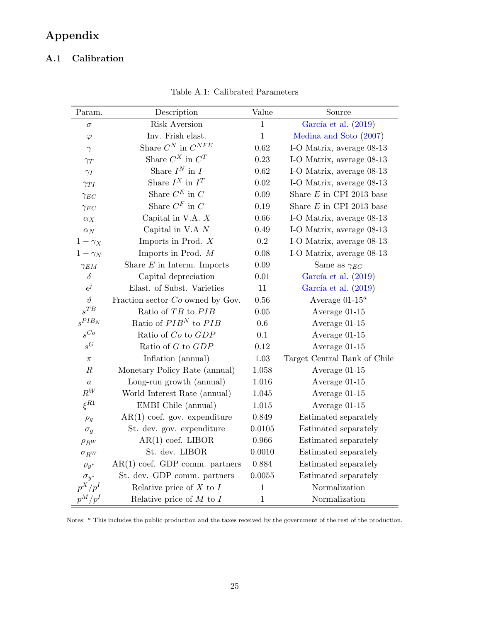# Appendix

## A.1 Calibration

| Param.               | Description                            | Value        | Source                       |  |
|----------------------|----------------------------------------|--------------|------------------------------|--|
| $\sigma$             | Risk Aversion                          | $\,1$        | García et al. (2019)         |  |
| $\varphi$            | Inv. Frish elast.                      | $\mathbf 1$  | Medina and Soto (2007)       |  |
| $\gamma$             | Share $C^N$ in $C^{NFE}$               | 0.62         | I-O Matrix, average 08-13    |  |
| $\gamma_T$           | Share $C^X$ in $C^T$                   | 0.23         | I-O Matrix, average 08-13    |  |
| $\gamma_I$           | Share $\mathcal{I}^N$ in $\mathcal{I}$ | 0.62         | I-O Matrix, average 08-13    |  |
| $\gamma_{TI}$        | Share $I^X$ in $I^T$                   | 0.02         | I-O Matrix, average 08-13    |  |
| $\gamma_{EC}$        | Share $C^E$ in $C$                     | $0.09\,$     | Share $E$ in CPI 2013 base   |  |
| $\gamma_{FC}$        | Share $C^F$ in $C$                     | 0.19         | Share $E$ in CPI 2013 base   |  |
| $\alpha_X$           | Capital in V.A. $X$                    | 0.66         | I-O Matrix, average 08-13    |  |
| $\alpha_N$           | Capital in V.A $N$                     | 0.49         | I-O Matrix, average 08-13    |  |
| $1-\gamma_X$         | Imports in Prod. $X$                   | $\rm 0.2$    | I-O Matrix, average 08-13    |  |
| $1-\gamma_N$         | Imports in Prod. $M$                   | 0.08         | I-O Matrix, average 08-13    |  |
| $\gamma_{EM}$        | Share $E$ in Interm. Imports           | 0.09         | Same as $\gamma_{EC}$        |  |
| $\delta$             | Capital depreciation                   | $0.01\,$     | García et al. (2019)         |  |
| $\epsilon^j$         | Elast. of Subst. Varieties             | 11           | García et al. (2019)         |  |
| $\vartheta$          | Fraction sector Co owned by Gov.       | $0.56\,$     | Average $01-15^a$            |  |
| $s^{TB}$             | Ratio of TB to PIB                     | $0.05\,$     | Average $01-15$              |  |
| $s^{PIB_N}$          | Ratio of $PIBN$ to $PIB$               | 0.6          | Average 01-15                |  |
| $s^{Co}$             | Ratio of Co to GDP                     | $0.1\,$      | Average 01-15                |  |
| $\boldsymbol{s}^G$   | Ratio of $G$ to $GDP$                  | 0.12         | Average 01-15                |  |
| $\pi$                | Inflation (annual)                     | $1.03\,$     | Target Central Bank of Chile |  |
| $\boldsymbol{R}$     | Monetary Policy Rate (annual)          | 1.058        | Average 01-15                |  |
| $\boldsymbol{a}$     | Long-run growth (annual)               | 1.016        | Average 01-15                |  |
| $R^W$                | World Interest Rate (annual)           | 1.045        | Average 01-15                |  |
| $\xi^{R1}$           | EMBI Chile (annual)                    | 1.015        | Average 01-15                |  |
| $\rho_g$             | $AR(1)$ coef. gov. expenditure         | 0.849        | Estimated separately         |  |
| $\sigma_g$           | St. dev. gov. expenditure              | 0.0105       | Estimated separately         |  |
| $\rho_{R^{W}}$       | $AR(1)$ coef. LIBOR                    | 0.966        | Estimated separately         |  |
| $\sigma_{R^{W}}$     | St. dev. LIBOR                         | 0.0010       | Estimated separately         |  |
| $\rho_{y^*}$         | $AR(1)$ coef. GDP comm. partners       | 0.884        | Estimated separately         |  |
| $\sigma_{y^*}$       | St. dev. GDP comm. partners            | 0.0055       | Estimated separately         |  |
| $\overline{p^X/p^I}$ | Relative price of $X$ to $I$           | $\mathbf 1$  | Normalization                |  |
| $p^M/p^I$            | Relative price of $M$ to $I$           | $\mathbf{1}$ | Normalization                |  |

Table A.1: Calibrated Parameters

Notes: <sup>a</sup> This includes the public production and the taxes received by the government of the rest of the production.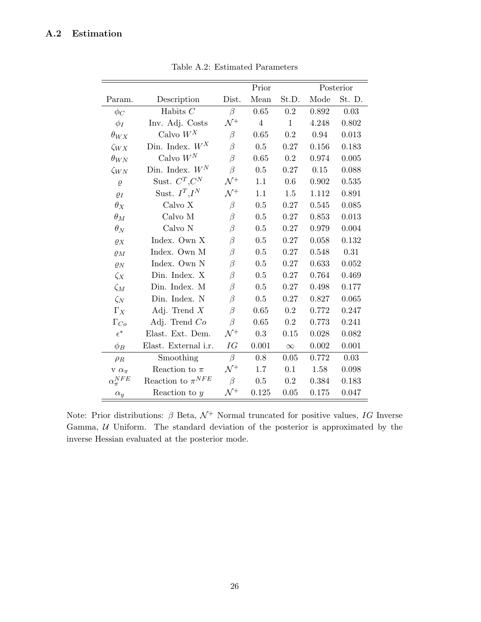## A.2 Estimation

|                      |                         | Prior           |                |              | Posterior |        |
|----------------------|-------------------------|-----------------|----------------|--------------|-----------|--------|
| Param.               | Description             | Dist.           | Mean           | St.D.        | Mode      | St. D. |
| $\phi_C$             | Habits $C$              | $\beta$         | 0.65           | 0.2          | 0.892     | 0.03   |
| $\phi_I$             | Inv. Adj. Costs         | $\mathcal{N}^+$ | $\overline{4}$ | $\mathbf{1}$ | 4.248     | 0.802  |
| $\theta_{WX}$        | Calvo $W^{\mathbb{X}}$  | $\beta$         | 0.65           | 0.2          | 0.94      | 0.013  |
| $\zeta_{WX}$         | Din. Index. $W^X$       | $\beta$         | 0.5            | 0.27         | 0.156     | 0.183  |
| $\theta_{WN}$        | Calvo ${\cal W}^N$      | $\beta$         | 0.65           | 0.2          | 0.974     | 0.005  |
| $\zeta_{WN}$         | Din. Index. $W^N$       | $\beta$         | 0.5            | 0.27         | 0.15      | 0.088  |
| $\varrho$            | Sust. $C^T, C^N$        | $\mathcal{N}^+$ | 1.1            | 0.6          | 0.902     | 0.535  |
| $\varrho_I$          | Sust. $I^T,I^N$         | $\mathcal{N}^+$ | 1.1            | 1.5          | 1.112     | 0.891  |
| $\theta_X$           | Calvo X                 | $\beta$         | 0.5            | 0.27         | 0.545     | 0.085  |
| $\theta_M$           | Calvo M                 | $\beta$         | 0.5            | 0.27         | 0.853     | 0.013  |
| $\theta_N$           | Calvo N                 | $\beta$         | 0.5            | 0.27         | 0.979     | 0.004  |
| $\varrho_X$          | Index. Own X            | $\beta$         | 0.5            | 0.27         | 0.058     | 0.132  |
| $\varrho_M$          | Index. Own M            | $\beta$         | 0.5            | 0.27         | 0.548     | 0.31   |
| $\varrho_N$          | Index. Own N            | $\beta$         | 0.5            | 0.27         | 0.633     | 0.052  |
| $\zeta_X$            | Din. Index. X           | $\beta$         | 0.5            | 0.27         | 0.764     | 0.469  |
| $\zeta_M$            | Din. Index. M           | $\beta$         | 0.5            | 0.27         | 0.498     | 0.177  |
| $\zeta_N$            | Din. Index. N           | $\beta$         | 0.5            | 0.27         | 0.827     | 0.065  |
| $\Gamma_X$           | Adj. Trend $X$          | $\beta$         | 0.65           | 0.2          | 0.772     | 0.247  |
| $\Gamma_{Co}$        | Adj. Trend $Co$         | $\beta$         | 0.65           | 0.2          | 0.773     | 0.241  |
| $\epsilon^*$         | Elast. Ext. Dem.        | $\mathcal{N}^+$ | 0.3            | 0.15         | 0.028     | 0.082  |
| $\phi_B$             | Elast. External i.r.    | IG              | 0.001          | $\infty$     | $0.002\,$ | 0.001  |
| $\rho_R$             | Smoothing               | $\beta$         | 0.8            | 0.05         | 0.772     | 0.03   |
| $V \alpha_{\pi}$     | Reaction to $\pi$       | $\mathcal{N}^+$ | 1.7            | 0.1          | 1.58      | 0.098  |
| $\alpha_{\pi}^{NFE}$ | Reaction to $\pi^{NFE}$ | $\beta$         | 0.5            | 0.2          | 0.384     | 0.183  |
| $\alpha_y$           | Reaction to $y$         | $\mathcal{N}^+$ | 0.125          | 0.05         | $0.175\,$ | 0.047  |

Table A.2: Estimated Parameters

Note: Prior distributions:  $\beta$  Beta,  $\mathcal{N}^+$  Normal truncated for positive values,  $IG$  Inverse Gamma,  $U$  Uniform. The standard deviation of the posterior is approximated by the inverse Hessian evaluated at the posterior mode.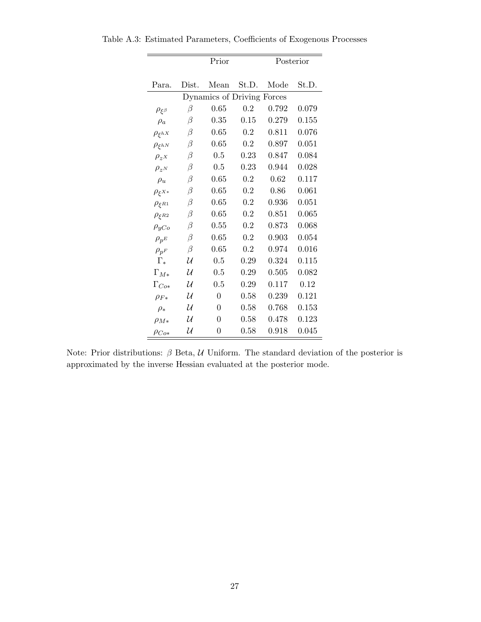|                   | Prior                      |                |       | Posterior |       |  |  |  |
|-------------------|----------------------------|----------------|-------|-----------|-------|--|--|--|
|                   |                            |                |       |           |       |  |  |  |
| Para.             | Dist.                      | Mean           | St.D. | Mode      | St.D. |  |  |  |
|                   | Dynamics of Driving Forces |                |       |           |       |  |  |  |
| $\rho_{\xi\beta}$ | β                          | 0.65           | 0.2   | 0.792     | 0.079 |  |  |  |
| $\rho_a$          | β                          | 0.35           | 0.15  | 0.279     | 0.155 |  |  |  |
| $\rho_{\xi hX}$   | $\beta$                    | 0.65           | 0.2   | 0.811     | 0.076 |  |  |  |
| $\rho_{\xi hN}$   | β                          | 0.65           | 0.2   | 0.897     | 0.051 |  |  |  |
| $\rho_z$ x        | $\beta$                    | 0.5            | 0.23  | 0.847     | 0.084 |  |  |  |
| $\rho_{z^N}$      | β                          | 0.5            | 0.23  | 0.944     | 0.028 |  |  |  |
| $\rho_u$          | $\beta$                    | 0.65           | 0.2   | 0.62      | 0.117 |  |  |  |
| $\rho_{\xi^{X*}}$ | β                          | 0.65           | 0.2   | 0.86      | 0.061 |  |  |  |
| $\rho_{\xi R1}$   | $\beta$                    | 0.65           | 0.2   | 0.936     | 0.051 |  |  |  |
| $\rho_{\xi R2}$   | β                          | 0.65           | 0.2   | 0.851     | 0.065 |  |  |  |
| $\rho_{yCo}$      | $\beta$                    | 0.55           | 0.2   | 0.873     | 0.068 |  |  |  |
| $\rho_{pE}$       | β                          | 0.65           | 0.2   | 0.903     | 0.054 |  |  |  |
| $\rho_{p^F}$      | β                          | 0.65           | 0.2   | 0.974     | 0.016 |  |  |  |
| $\Gamma_*$        | $\mathcal U$               | 0.5            | 0.29  | 0.324     | 0.115 |  |  |  |
| $\Gamma_{M*}$     | U                          | 0.5            | 0.29  | 0.505     | 0.082 |  |  |  |
| $\Gamma_{Cov}$    | $\mathcal U$               | 0.5            | 0.29  | 0.117     | 0.12  |  |  |  |
| $\rho_{F*}$       | $\mathcal U$               | $\overline{0}$ | 0.58  | 0.239     | 0.121 |  |  |  |
| $\rho_*$          | $\mathcal U$               | $\overline{0}$ | 0.58  | 0.768     | 0.153 |  |  |  |
| $\rho_{M*}$       | $\mathcal U$               | 0              | 0.58  | 0.478     | 0.123 |  |  |  |
| $\rho_{Co*}$      | $\mathcal U$               | $\overline{0}$ | 0.58  | 0.918     | 0.045 |  |  |  |

Table A.3: Estimated Parameters, Coefficients of Exogenous Processes

Note: Prior distributions:  $\beta$  Beta,  $\mathcal U$  Uniform. The standard deviation of the posterior is approximated by the inverse Hessian evaluated at the posterior mode.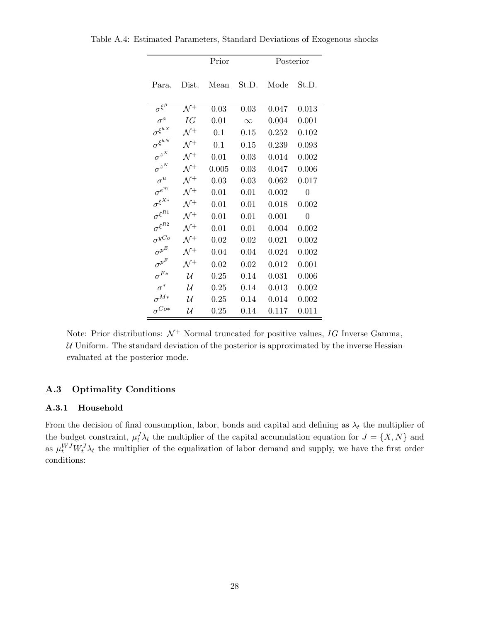|                                   |                 | Prior      |          |       | Posterior |
|-----------------------------------|-----------------|------------|----------|-------|-----------|
| Para.                             | Dist.           | Mean       | St.D.    | Mode  | St.D.     |
| $\sigma^{\xi^{\overline{\beta}}}$ | $\mathcal{N}^+$ | 0.03       | 0.03     | 0.047 | 0.013     |
| $\sigma^a$                        | ΙG              | 0.01       | $\infty$ | 0.004 | 0.001     |
| $\sigma^{\xi^{hX}}$               | $\mathcal{N}^+$ | 0.1        | 0.15     | 0.252 | 0.102     |
| $\sigma^{\xi^{hN}}$               | $\mathcal{N}^+$ | 0.1        | 0.15     | 0.239 | 0.093     |
| $\sigma^{z^X}$                    | $\Lambda$ / $+$ | 0.01       | 0.03     | 0.014 | 0.002     |
| $\sigma^{z^N}$                    | $\mathcal{N}^+$ | 0.005      | 0.03     | 0.047 | 0.006     |
| $\sigma^u$                        | $\mathcal{N}^+$ | 0.03       | 0.03     | 0.062 | 0.017     |
| $\sigma^{e^m}$                    | $\mathcal{N}^+$ | 0.01       | 0.01     | 0.002 | 0         |
| $\sigma^{\xi^{X\ast}}$            | $\mathcal{N}^+$ | 0.01       | 0.01     | 0.018 | 0.002     |
| $\sigma^{\xi^{R1}}$               | $\mathcal{N}^+$ | 0.01       | 0.01     | 0.001 | 0         |
| $\sigma^{\xi^{R2}}$               | $\Lambda$ /+    | 0.01       | 0.01     | 0.004 | 0.002     |
| $\sigma^{yCo}$                    | $\mathcal{N}^+$ | 0.02       | 0.02     | 0.021 | 0.002     |
| $\sigma^{p^E}$                    | $\mathcal{N}^+$ | 0.04       | 0.04     | 0.024 | 0.002     |
| $\sigma^{p^F}$                    | $\mathcal{N}^+$ | 0.02       | 0.02     | 0.012 | 0.001     |
| $\sigma^{F*}$                     | U               | $0.25\,$   | 0.14     | 0.031 | 0.006     |
| $\sigma^*$                        | U               | $0.25\,$   | 0.14     | 0.013 | 0.002     |
| $\sigma^{M*}$                     | И               | 0.25       | 0.14     | 0.014 | 0.002     |
| $\sigma^{Co*}$                    | U               | $\rm 0.25$ | 0.14     | 0.117 | $0.011\,$ |

Table A.4: Estimated Parameters, Standard Deviations of Exogenous shocks

Note: Prior distributions:  $\mathcal{N}^+$  Normal truncated for positive values, IG Inverse Gamma,  $U$  Uniform. The standard deviation of the posterior is approximated by the inverse Hessian evaluated at the posterior mode.

#### A.3 Optimality Conditions

#### A.3.1 Household

From the decision of final consumption, labor, bonds and capital and defining as  $\lambda_t$  the multiplier of the budget constraint,  $\mu_t^J \lambda_t$  the multiplier of the capital accumulation equation for  $J = \{X, N\}$  and as  $\mu_t^{WJ} W_t^J \lambda_t$  the multiplier of the equalization of labor demand and supply, we have the first order conditions: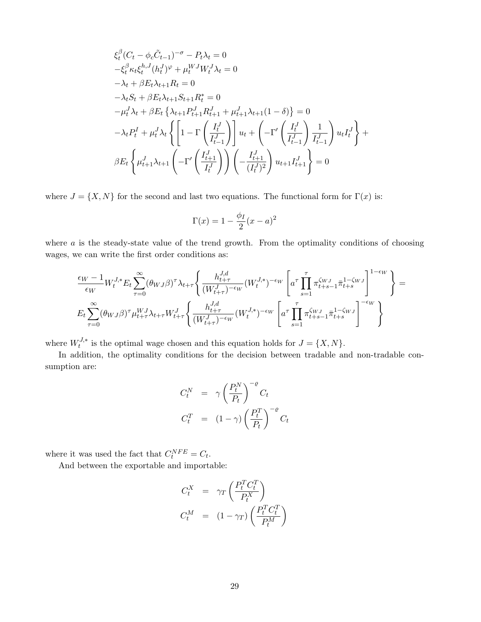$$
\xi_{t}^{\beta} (C_{t} - \phi_{c} \tilde{C}_{t-1})^{-\sigma} - P_{t} \lambda_{t} = 0
$$
  
\n
$$
-\xi_{t}^{\beta} \kappa_{t} \xi_{t}^{h,J} (h_{t}^{J})^{\varphi} + \mu_{t}^{WJ} W_{t}^{J} \lambda_{t} = 0
$$
  
\n
$$
-\lambda_{t} + \beta E_{t} \lambda_{t+1} R_{t} = 0
$$
  
\n
$$
-\lambda_{t} S_{t} + \beta E_{t} \lambda_{t+1} S_{t+1} R_{t}^{*} = 0
$$
  
\n
$$
-\mu_{t}^{J} \lambda_{t} + \beta E_{t} \left\{ \lambda_{t+1} P_{t+1}^{J} R_{t+1}^{J} + \mu_{t+1}^{J} \lambda_{t+1} (1 - \delta) \right\} = 0
$$
  
\n
$$
-\lambda_{t} P_{t}^{I} + \mu_{t}^{J} \lambda_{t} \left\{ \left[ 1 - \Gamma \left( \frac{I_{t}^{J}}{I_{t-1}^{J}} \right) \right] u_{t} + \left( -\Gamma' \left( \frac{I_{t}^{J}}{I_{t-1}^{J}} \right) \frac{1}{I_{t-1}^{J}} \right) u_{t} I_{t}^{J} \right\} + \beta E_{t} \left\{ \mu_{t+1}^{J} \lambda_{t+1} \left( -\Gamma' \left( \frac{I_{t+1}^{J}}{I_{t}^{J}} \right) \right) \left( -\frac{I_{t+1}^{J}}{(I_{t}^{J})^{2}} \right) u_{t+1} I_{t+1}^{J} \right\} = 0
$$

where  $J = \{X, N\}$  for the second and last two equations. The functional form for  $\Gamma(x)$  is:

$$
\Gamma(x) = 1 - \frac{\phi_I}{2}(x - a)^2
$$

where  $a$  is the steady-state value of the trend growth. From the optimality conditions of choosing wages, we can write the first order conditions as:

$$
\frac{\epsilon_W - 1}{\epsilon_W} W_t^{J,*} E_t \sum_{\tau=0}^{\infty} (\theta_{WJ} \beta)^{\tau} \lambda_{t+\tau} \left\{ \frac{h_{t+\tau}^{J,d}}{(W_{t+\tau}^J)^{-\epsilon_W}} (W_t^{J,*})^{-\epsilon_W} \left[ a^{\tau} \prod_{s=1}^{\tau} \pi_{t+s-1}^{\zeta_{WJ}} \bar{\pi}_{t+s}^{1-\zeta_{WJ}} \right]^{1-\epsilon_W} \right\} =
$$
  
\n
$$
E_t \sum_{\tau=0}^{\infty} (\theta_{WJ} \beta)^{\tau} \mu_{t+\tau}^{WJ} \lambda_{t+\tau} W_{t+\tau}^{J} \left\{ \frac{h_{t+\tau}^{J,d}}{(W_{t+\tau}^J)^{-\epsilon_W}} (W_t^{J,*})^{-\epsilon_W} \left[ a^{\tau} \prod_{s=1}^{\tau} \pi_{t+s-1}^{\zeta_{WJ}} \bar{\pi}_{t+s}^{1-\zeta_{WJ}} \right]^{-\epsilon_W} \right\}
$$

where  $W_t^{J,*}$  $t^{J,*}$  is the optimal wage chosen and this equation holds for  $J = \{X, N\}.$ 

In addition, the optimality conditions for the decision between tradable and non-tradable consumption are:

$$
C_t^N = \gamma \left(\frac{P_t^N}{P_t}\right)^{-\varrho} C_t
$$
  

$$
C_t^T = (1-\gamma) \left(\frac{P_t^T}{P_t}\right)^{-\varrho} C_t
$$

where it was used the fact that  $C_t^{NFE} = C_t$ .

And between the exportable and importable:

$$
C_t^X = \gamma_T \left( \frac{P_t^T C_t^T}{P_t^X} \right)
$$
  

$$
C_t^M = (1 - \gamma_T) \left( \frac{P_t^T C_t^T}{P_t^M} \right)
$$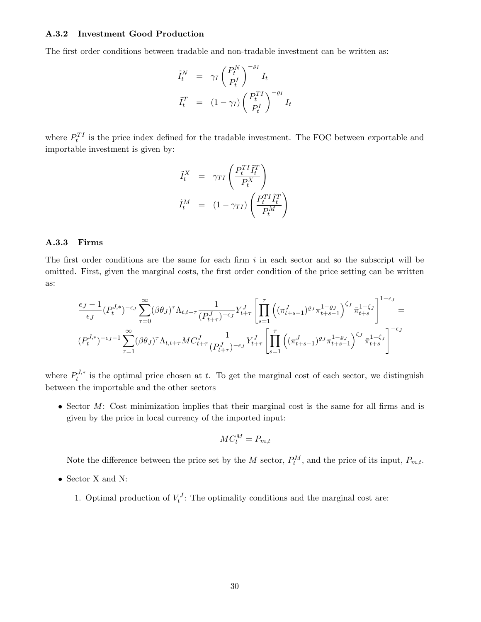#### A.3.2 Investment Good Production

The first order conditions between tradable and non-tradable investment can be written as:

$$
\begin{aligned}\n\tilde{I}_t^N &= \gamma_I \left(\frac{P_t^N}{P_t^I}\right)^{-\varrho_I} I_t \\
\tilde{I}_t^T &= (1 - \gamma_I) \left(\frac{P_t^{TI}}{P_t^I}\right)^{-\varrho_I} I_t\n\end{aligned}
$$

where  $P_t^{TI}$  is the price index defined for the tradable investment. The FOC between exportable and importable investment is given by:

$$
\begin{aligned}\n\tilde{I}_t^X &= \gamma_{TI} \left( \frac{P_t^{TI} \tilde{I}_t^T}{P_t^X} \right) \\
\tilde{I}_t^M &= (1 - \gamma_{TI}) \left( \frac{P_t^{TI} \tilde{I}_t^T}{P_t^M} \right)\n\end{aligned}
$$

#### A.3.3 Firms

The first order conditions are the same for each firm  $i$  in each sector and so the subscript will be omitted. First, given the marginal costs, the first order condition of the price setting can be written as:

$$
\frac{\epsilon_J-1}{\epsilon_J}(P_t^{J,*})^{-\epsilon_J}\sum_{\tau=0}^{\infty}(\beta\theta_J)^{\tau}\Lambda_{t,t+\tau}\frac{1}{(P_{t+\tau}^{J})^{-\epsilon_J}}Y_{t+\tau}^{J}\left[\prod_{s=1}^{\tau}\left((\pi_{t+s-1}^{J})^{\varrho_J}\pi_{t+s-1}^{1-\varrho_J}\right)^{\zeta_J}\bar{\pi}_{t+s}^{1-\zeta_J}\right]^{1-\epsilon_J}=\n(P_t^{J,*})^{-\epsilon_J-1}\sum_{\tau=1}^{\infty}(\beta\theta_J)^{\tau}\Lambda_{t,t+\tau}MC_{t+\tau}^{J}\frac{1}{(P_{t+\tau}^{J})^{-\epsilon_J}}Y_{t+\tau}^{J}\left[\prod_{s=1}^{\tau}\left((\pi_{t+s-1}^{J})^{\varrho_J}\pi_{t+s-1}^{1-\varrho_J}\right)^{\zeta_J}\bar{\pi}_{t+s}^{1-\zeta_J}\right]^{-\epsilon_J}
$$

where  $P_t^{J,*}$  $t^{J,*}$  is the optimal price chosen at t. To get the marginal cost of each sector, we distinguish between the importable and the other sectors

• Sector M: Cost minimization implies that their marginal cost is the same for all firms and is given by the price in local currency of the imported input:

$$
MC_t^M = P_{m,t}
$$

Note the difference between the price set by the M sector,  $P_t^M$ , and the price of its input,  $P_{m,t}$ .

- $\bullet\,$  Sector X and N:
	- 1. Optimal production of  $V_t^J$ : The optimality conditions and the marginal cost are: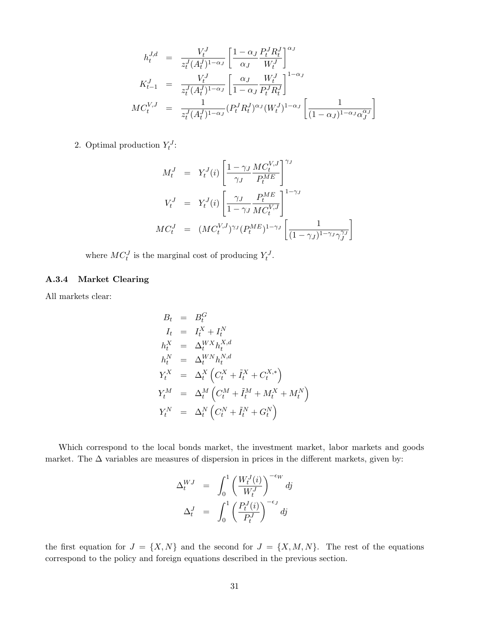$$
h_t^{J,d} = \frac{V_t^J}{z_t^J (A_t^J)^{1-\alpha_J}} \left[ \frac{1-\alpha_J}{\alpha_J} \frac{P_t^J R_t^J}{W_t^J} \right]^{\alpha_J}
$$
  
\n
$$
K_{t-1}^J = \frac{V_t^J}{z_t^J (A_t^J)^{1-\alpha_J}} \left[ \frac{\alpha_J}{1-\alpha_J} \frac{W_t^J}{P_t^J R_t^J} \right]^{1-\alpha_J}
$$
  
\n
$$
MC_t^{V,J} = \frac{1}{z_t^J (A_t^J)^{1-\alpha_J}} (P_t^J R_t^J)^{\alpha_J} (W_t^J)^{1-\alpha_J} \left[ \frac{1}{(1-\alpha_J)^{1-\alpha_J} \alpha_J^{\alpha_J}} \right]
$$

2. Optimal production  $Y_t^J$ :

$$
M_t^J = Y_t^J(i) \left[ \frac{1 - \gamma_J M C_t^{V,J}}{\gamma_J} \right]^{\gamma_J}
$$
  
\n
$$
V_t^J = Y_t^J(i) \left[ \frac{\gamma_J}{1 - \gamma_J M C_t^{V,J}} \right]^{1 - \gamma_J}
$$
  
\n
$$
M C_t^J = (M C_t^{V,J})^{\gamma_J} (P_t^{ME})^{1 - \gamma_J} \left[ \frac{1}{(1 - \gamma_J)^{1 - \gamma_J} \gamma_J^{\gamma_J}} \right]
$$

where  $MC_t^J$  is the marginal cost of producing  $Y_t^J$ .

#### A.3.4 Market Clearing

All markets clear:

$$
B_t = B_t^G
$$
  
\n
$$
I_t = I_t^X + I_t^N
$$
  
\n
$$
h_t^X = \Delta_t^{WX} h_t^{X,d}
$$
  
\n
$$
h_t^N = \Delta_t^{WN} h_t^{N,d}
$$
  
\n
$$
Y_t^X = \Delta_t^X \left( C_t^X + \tilde{I}_t^X + C_t^{X,*} \right)
$$
  
\n
$$
Y_t^M = \Delta_t^M \left( C_t^M + \tilde{I}_t^M + M_t^X + M_t^N \right)
$$
  
\n
$$
Y_t^N = \Delta_t^N \left( C_t^N + \tilde{I}_t^N + G_t^N \right)
$$

Which correspond to the local bonds market, the investment market, labor markets and goods market. The  $\Delta$  variables are measures of dispersion in prices in the different markets, given by:

$$
\Delta_t^{WJ} = \int_0^1 \left( \frac{W_t^J(i)}{W_t^J} \right)^{-\epsilon_W} dj
$$

$$
\Delta_t^J = \int_0^1 \left( \frac{P_t^J(i)}{P_t^J} \right)^{-\epsilon_J} dj
$$

the first equation for  $J = \{X, N\}$  and the second for  $J = \{X, M, N\}$ . The rest of the equations correspond to the policy and foreign equations described in the previous section.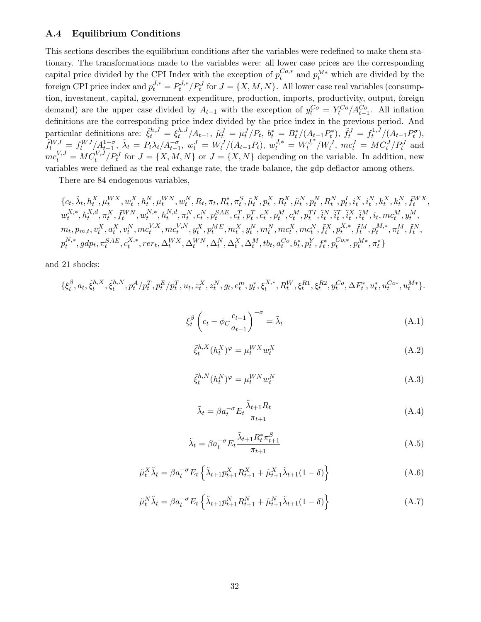#### A.4 Equilibrium Conditions

This sections describes the equilibrium conditions after the variables were redefined to make them stationary. The transformations made to the variables were: all lower case prices are the corresponding capital price divided by the CPI Index with the exception of  $p_t^{Co,*}$  $t^{Co,*}$  and  $p_t^{M*}$  which are divided by the foreign CPI price index and  $p_t^{J,*} = P_t^{J,*}$  $t^{J,*}_t/P_t^J$  for  $J = \{X, M, N\}$ . All lower case real variables (consumption, investment, capital, government expenditure, production, imports, productivity, output, foreign demand) are the upper case divided by  $A_{t-1}$  with the exception of  $y_t^{Co} = Y_t^{Co}/A_{t-1}^{Co}$ . All inflation definitions are the corresponding price index divided by the price index in the previous period. And particular definitions are:  $\tilde{\xi}_t^{h,J} = \xi_t^{h,J}$  $\int_t^{h,J} \! /A_{t-1}, \; \tilde{\mu}_t^J = \mu_t^J/P_t, \; b_t^* = B_t^*/(A_{t-1}P_t^*), \; \tilde{f}_t^J = f_t^{1,J}$  $t^{1,J}/(A_{t-1}P_t^{\sigma}),$  $\tilde{f}_t^{WJ} = f_t^{WJ} / A_{t-1}^{1-\sigma}, \ \tilde{\lambda}_t = P_t \lambda_t / A_{t-1}^{-\sigma}, \ w_t^J = W_t^J / (A_{t-1} P_t), \ w_t^{J,*} = W_t^{J,*}$  $t^{J,*}/W_t^J$ ,  $mc_t^J = MC_t^J/P_t^J$  and  $mc_t^{V,J} = MC_t^{V,J}/P_t^J$  for  $J = \{X, M, N\}$  or  $J = \{X, N\}$  depending on the variable. In addition, new variables were defined as the real exhange rate, the trade balance, the gdp deflactor among others.

There are 84 endogenous variables,

$$
\{c_{t}, \tilde{\lambda}_{t}, h_{t}^{X}, \mu_{t}^{WX}, w_{t}^{X}, h_{t}^{N}, \mu_{t}^{WN}, w_{t}^{N}, R_{t}, \pi_{t}, R_{t}^{*}, \pi_{t}^{S}, \tilde{\mu}_{t}^{X}, p_{t}^{X}, R_{t}^{X}, \tilde{\mu}_{t}^{N}, p_{t}^{N}, R_{t}^{N}, p_{t}^{I}, i_{t}^{X}, i_{t}^{N}, k_{t}^{X}, k_{t}^{N}, \tilde{f}_{t}^{WX}, w_{t}^{X,*}, h_{t}^{X,d}, \pi_{t}^{X}, \tilde{f}_{t}^{WN}, w_{t}^{N,*}, h_{t}^{N,d}, \pi_{t}^{N}, c_{t}^{N}, p_{t}^{SAE}, c_{t}^{T}, p_{t}^{T}, c_{t}^{X}, p_{t}^{M}, c_{t}^{M}, p_{t}^{TI}, \tilde{i}_{t}^{N}, \tilde{i}_{t}^{T}, \tilde{i}_{t}^{X}, \tilde{i}_{t}^{M}, i_{t}, mc_{t}^{M}, y_{t}^{M}, m_{t}, p_{m,t}, v_{t}^{X}, a_{t}^{X}, v_{t}^{N}, mc_{t}^{V,X}, mc_{t}^{V,N}, y_{t}^{X}, p_{t}^{ME}, m_{t}^{X}, y_{t}^{N}, m_{t}^{N}, mc_{t}^{X}, mc_{t}^{N}, \tilde{f}_{t}^{X}, p_{t}^{X,*}, \tilde{f}_{t}^{M}, p_{t}^{M,*}, \pi_{t}^{M}, \tilde{f}_{t}^{N}, p_{t}^{N,*}, qdp_{t}, \pi_{t}^{SAE}, c_{t}^{X,*}, rer_{t}, \Delta_{t}^{WX}, \Delta_{t}^{WN}, \Delta_{t}^{X}, \Delta_{t}^{M}, t_{b_{t}}, a_{t}^{Co}, b_{t}^{*}, p_{t}^{Y}, f_{t}^{*}, p_{t}^{Co,*}, p_{t}^{M,*}, \pi_{t}^{*}\}
$$

and 21 shocks:

$$
\{\xi_t^{\beta}, a_t, \tilde{\xi}_t^{h, X}, \tilde{\xi}_t^{h, N}, p_t^A/p_t^T, p_t^E/p_t^T, u_t, z_t^X, z_t^N, g_t, e_t^m, y_t^*, \xi_t^{X,*}, R_t^W, \xi_t^{R1}, \xi_t^{R2}, y_t^{Co}, \Delta F_t^*, u_t^*, u_t^{Co*}, u_t^{M*}\}.
$$

$$
\xi_t^{\beta} \left( c_t - \phi_C \frac{c_{t-1}}{a_{t-1}} \right)^{-\sigma} = \tilde{\lambda}_t \tag{A.1}
$$

$$
\tilde{\xi}_t^{h,X}(h_t^X)^\varphi = \mu_t^{WX} w_t^X \tag{A.2}
$$

$$
\tilde{\xi}_t^{h,N}(h_t^N)^\varphi = \mu_t^{WN} w_t^N \tag{A.3}
$$

$$
\tilde{\lambda}_t = \beta a_t^{-\sigma} E_t \frac{\tilde{\lambda}_{t+1} R_t}{\pi_{t+1}}
$$
\n(A.4)

$$
\tilde{\lambda}_t = \beta a_t^{-\sigma} E_t \frac{\tilde{\lambda}_{t+1} R_t^* \pi_{t+1}^S}{\pi_{t+1}}
$$
\n(A.5)

$$
\tilde{\mu}_t^X \tilde{\lambda}_t = \beta a_t^{-\sigma} E_t \left\{ \tilde{\lambda}_{t+1} p_{t+1}^X R_{t+1}^X + \tilde{\mu}_{t+1}^X \tilde{\lambda}_{t+1} (1 - \delta) \right\}
$$
\n(A.6)

$$
\tilde{\mu}_t^N \tilde{\lambda}_t = \beta a_t^{-\sigma} E_t \left\{ \tilde{\lambda}_{t+1} p_{t+1}^N R_{t+1}^N + \tilde{\mu}_{t+1}^N \tilde{\lambda}_{t+1} (1 - \delta) \right\}
$$
\n(A.7)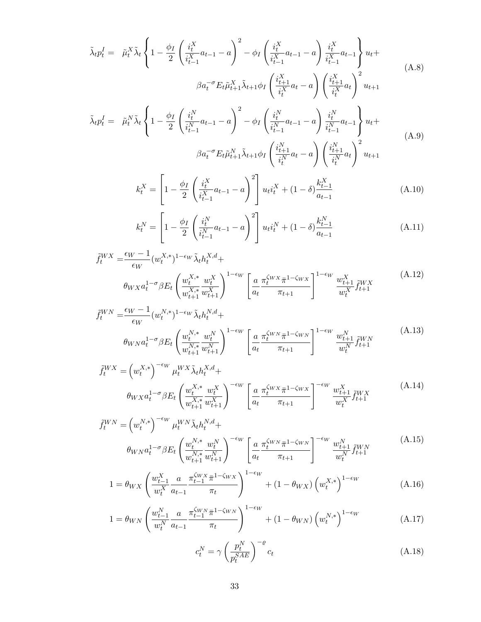$$
\tilde{\lambda}_{t} p_{t}^{I} = \tilde{\mu}_{t}^{X} \tilde{\lambda}_{t} \left\{ 1 - \frac{\phi_{I}}{2} \left( \frac{i_{t}^{X}}{i_{t-1}^{X}} a_{t-1} - a \right)^{2} - \phi_{I} \left( \frac{i_{t}^{X}}{i_{t-1}^{X}} a_{t-1} - a \right) \frac{i_{t}^{X}}{i_{t-1}^{X}} a_{t-1} \right\} u_{t} + \beta a_{t}^{-\sigma} E_{t} \tilde{\mu}_{t+1}^{X} \tilde{\lambda}_{t+1} \phi_{I} \left( \frac{i_{t+1}^{X}}{i_{t}^{X}} a_{t} - a \right) \left( \frac{i_{t+1}^{X}}{i_{t}^{X}} a_{t} \right)^{2} u_{t+1}
$$
\n
$$
\tilde{\lambda}_{t} p_{t}^{I} = \tilde{\mu}_{t}^{N} \tilde{\lambda}_{t} \left\{ 1 - \frac{\phi_{I}}{2} \left( \frac{i_{t}^{N}}{i_{t-1}^{N}} a_{t-1} - a \right)^{2} - \phi_{I} \left( \frac{i_{t}^{N}}{i_{t-1}^{N}} a_{t-1} - a \right) \frac{i_{t}^{N}}{i_{t-1}^{N}} a_{t-1} \right\} u_{t} + \beta a_{t}^{-\sigma} E_{t} \tilde{\mu}_{t+1}^{N} \tilde{\lambda}_{t+1} \phi_{I} \left( \frac{i_{t+1}^{N}}{i_{t}^{N}} a_{t} - a \right) \left( \frac{i_{t+1}^{N}}{i_{t}^{N}} a_{t} \right)^{2} u_{t+1}
$$
\n(A.9)

$$
k_t^X = \left[1 - \frac{\phi_I}{2} \left(\frac{i_t^X}{i_{t-1}^X} a_{t-1} - a\right)^2\right] u_t i_t^X + (1 - \delta) \frac{k_{t-1}^X}{a_{t-1}} \tag{A.10}
$$

$$
k_t^N = \left[1 - \frac{\phi_I}{2} \left(\frac{i_t^N}{i_{t-1}^N} a_{t-1} - a\right)^2\right] u_t i_t^N + (1 - \delta) \frac{k_{t-1}^N}{a_{t-1}}
$$
(A.11)

$$
\tilde{f}_{t}^{WX} = \frac{\epsilon_{W} - 1}{\epsilon_{W}} (w_{t}^{X,*})^{1 - \epsilon_{W}} \tilde{\lambda}_{t} h_{t}^{X,d} +
$$
\n
$$
\theta_{WX} a_{t}^{1 - \sigma} \beta E_{t} \left( \frac{w_{t}^{X,*}}{w_{t+1}^{X,*}} \frac{w_{t}^{X}}{w_{t+1}^{X}} \right)^{1 - \epsilon_{W}} \left[ \frac{a}{a_{t}} \frac{\pi_{t}^{\zeta_{WX}} \pi^{1 - \zeta_{WX}}}{\pi_{t+1}} \right]^{1 - \epsilon_{W}} \frac{w_{t+1}^{X}}{w_{t}^{X}} \tilde{f}_{t+1}^{WX} \tag{A.12}
$$

$$
\tilde{f}_{t}^{WN} = \frac{\epsilon_{W} - 1}{\epsilon_{W}} (w_{t}^{N,*})^{1 - \epsilon_{W}} \tilde{\lambda}_{t} h_{t}^{N,d} +
$$
\n
$$
\theta_{WN} a_{t}^{1 - \sigma} \beta E_{t} \left( \frac{w_{t}^{N,*}}{w_{t+1}^{N,*}} \frac{w_{t}^{N}}{w_{t+1}^{N}} \right)^{1 - \epsilon_{W}} \left[ \frac{a}{a_{t}} \frac{\pi_{t}^{\zeta_{WN}} \pi^{1 - \zeta_{WN}}}{\pi_{t+1}} \right]^{1 - \epsilon_{W}} \frac{w_{t+1}^{N}}{w_{t}^{N}} \tilde{f}_{t+1}^{WN} \tag{A.13}
$$

$$
\tilde{f}_t^{WX} = \left(w_t^{X,*}\right)^{-\epsilon_W} \mu_t^{WX} \tilde{\lambda}_t h_t^{X,d} + \theta_{WX} a_t^{1-\sigma} \beta E_t \left(\frac{w_t^{X,*}}{w_{t+1}^{X,*}} \frac{w_t^X}{w_{t+1}^X}\right)^{-\epsilon_W} \left[\frac{a}{a_t} \frac{\pi_t^{\zeta_W} \pi^{1-\zeta_W} x}{\pi_{t+1}}\right]^{-\epsilon_W} \frac{w_{t+1}^X}{w_t^X} \tilde{f}_{t+1}^{WX} \tag{A.14}
$$

$$
\tilde{f}_{t}^{WN} = \left(w_{t}^{N,*}\right)^{-\epsilon_{W}} \mu_{t}^{WN} \tilde{\lambda}_{t} h_{t}^{N,d} + \\\theta_{WN} a_{t}^{1-\sigma} \beta E_{t} \left(\frac{w_{t}^{N,*}}{w_{t+1}^{N,*}} \frac{w_{t}^{N}}{w_{t+1}^{N}}\right)^{-\epsilon_{W}} \left[\frac{a}{a_{t}} \frac{\pi_{t}^{\zeta_{WN}} \bar{\pi}^{1-\zeta_{WN}}}{\pi_{t+1}}\right]^{-\epsilon_{W}} \frac{w_{t+1}^{N}}{w_{t}^{N}} \tilde{f}_{t+1}^{WN} \tag{A.15}
$$

$$
1 = \theta_{WX} \left( \frac{w_{t-1}^X}{w_t^X} \frac{a}{a_{t-1}} \frac{\pi_{t-1}^{\zeta_{WX}} \bar{\pi}^{1-\zeta_{WX}}}{\pi_t} \right)^{1-\epsilon_W} + (1 - \theta_{WX}) \left( w_t^{X,*} \right)^{1-\epsilon_W}
$$
(A.16)

$$
1 = \theta_{WN} \left( \frac{w_{t-1}^N}{w_t^N} \frac{a}{a_{t-1}} \frac{\pi_{t-1}^{\zeta_{WN}} \pi^{1-\zeta_{WN}}}{\pi_t} \right)^{1-\epsilon_W} + (1 - \theta_{WN}) \left( w_t^{N,*} \right)^{1-\epsilon_W}
$$
(A.17)

$$
c_t^N = \gamma \left(\frac{p_t^N}{p_t^{SAE}}\right)^{-\varrho} c_t \tag{A.18}
$$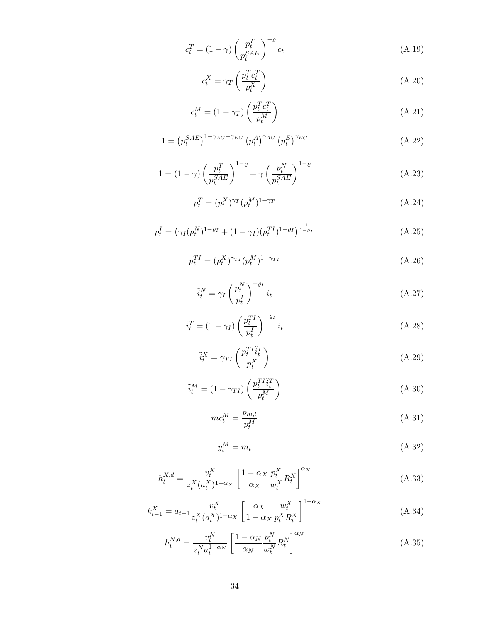$$
c_t^T = (1 - \gamma) \left(\frac{p_t^T}{p_t^{SAE}}\right)^{-\varrho} c_t
$$
\n(A.19)

$$
c_t^X = \gamma_T \left(\frac{p_t^T c_t^T}{p_t^X}\right) \tag{A.20}
$$

$$
c_t^M = (1 - \gamma_T) \left( \frac{p_t^T c_t^T}{p_t^M} \right) \tag{A.21}
$$

$$
1 = \left(p_t^{SAE}\right)^{1-\gamma_{AC}-\gamma_{EC}} \left(p_t^A\right)^{\gamma_{AC}} \left(p_t^E\right)^{\gamma_{EC}} \tag{A.22}
$$

$$
1 = (1 - \gamma) \left(\frac{p_t^T}{p_t^{SAE}}\right)^{1-\varrho} + \gamma \left(\frac{p_t^N}{p_t^{SAE}}\right)^{1-\varrho} \tag{A.23}
$$

$$
p_t^T = (p_t^X)^{\gamma_T} (p_t^M)^{1 - \gamma_T} \tag{A.24}
$$

$$
p_t^I = \left(\gamma_I (p_t^N)^{1-\varrho_I} + (1-\gamma_I)(p_t^{TI})^{1-\varrho_I}\right)^{\frac{1}{1-\varrho_I}}\tag{A.25}
$$

$$
p_t^{TI} = (p_t^X)^{\gamma_{TI}} (p_t^M)^{1 - \gamma_{TI}} \tag{A.26}
$$

$$
\tilde{i}_t^N = \gamma_I \left(\frac{p_t^N}{p_t^I}\right)^{-\varrho_I} i_t \tag{A.27}
$$

$$
\tilde{i}_t^T = (1 - \gamma_I) \left(\frac{p_t^{TI}}{p_t^I}\right)^{-\varrho_I} i_t \tag{A.28}
$$

$$
\tilde{i}_t^X = \gamma_{TI} \left( \frac{p_t^{TI} \tilde{i}_t^T}{p_t^X} \right) \tag{A.29}
$$

$$
\tilde{i}_t^M = (1 - \gamma_{TI}) \left( \frac{p_t^{TI} \tilde{i}_t^T}{p_t^M} \right) \tag{A.30}
$$

$$
mc_t^M = \frac{p_{m,t}}{p_t^M} \tag{A.31}
$$

$$
y_t^M = m_t \tag{A.32}
$$

$$
h_t^{X,d} = \frac{v_t^X}{z_t^X (a_t^X)^{1-\alpha_X}} \left[ \frac{1-\alpha_X}{\alpha_X} \frac{p_t^X}{w_t^X} R_t^X \right]^{\alpha_X} \tag{A.33}
$$

$$
k_{t-1}^{X} = a_{t-1} \frac{v_t^{X}}{z_t^{X}(a_t^{X})^{1-\alpha_X}} \left[ \frac{\alpha_X}{1-\alpha_X} \frac{w_t^{X}}{p_t^{X} R_t^{X}} \right]^{1-\alpha_X}
$$
(A.34)

$$
h_t^{N,d} = \frac{v_t^N}{z_t^N a_t^{1-\alpha_N}} \left[ \frac{1-\alpha_N}{\alpha_N} \frac{p_t^N}{w_t^N} R_t^N \right]^{\alpha_N} \tag{A.35}
$$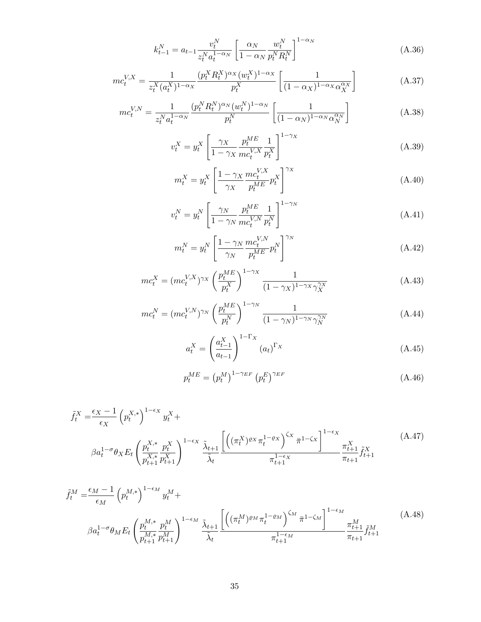$$
k_{t-1}^{N} = a_{t-1} \frac{v_t^{N}}{z_t^{N} a_t^{1-\alpha_N}} \left[ \frac{\alpha_N}{1-\alpha_N} \frac{w_t^{N}}{p_t^{N} R_t^{N}} \right]^{1-\alpha_N}
$$
 (A.36)

$$
mc_t^{V,X} = \frac{1}{z_t^X (a_t^X)^{1-\alpha_X}} \frac{(p_t^X R_t^X)^{\alpha_X} (w_t^X)^{1-\alpha_X}}{p_t^X} \left[ \frac{1}{(1-\alpha_X)^{1-\alpha_X} \alpha_X^{\alpha_X}} \right]
$$
(A.37)

$$
mc_t^{V,N} = \frac{1}{z_t^N a_t^{1-\alpha_N}} \frac{(p_t^N R_t^N)^{\alpha_N} (w_t^N)^{1-\alpha_N}}{p_t^N} \left[ \frac{1}{(1-\alpha_N)^{1-\alpha_N} \alpha_N^{\alpha_N}} \right]
$$
(A.38)

$$
v_t^X = y_t^X \left[ \frac{\gamma_X}{1 - \gamma_X} \frac{p_t^{ME}}{mc_t^{V,X}} \frac{1}{p_t^X} \right]^{1 - \gamma_X} \tag{A.39}
$$

$$
m_t^X = y_t^X \left[ \frac{1 - \gamma_X}{\gamma_X} \frac{m c_t^{V,X}}{p_t^{ME}} p_t^X \right]^{\gamma_X} \tag{A.40}
$$

$$
v_t^N = y_t^N \left[ \frac{\gamma_N}{1 - \gamma_N} \frac{p_t^{ME}}{mc_t^{V,N}} \frac{1}{p_t^N} \right]^{1 - \gamma_N}
$$
\n(A.41)

$$
m_t^N = y_t^N \left[ \frac{1 - \gamma_N}{\gamma_N} \frac{mc_t^{V,N}}{p_t^{ME}} p_t^N \right]^{\gamma_N} \tag{A.42}
$$

$$
mc_t^X = (mc_t^{V,X})^{\gamma_X} \left(\frac{p_t^{ME}}{p_t^X}\right)^{1-\gamma_X} \frac{1}{(1-\gamma_X)^{1-\gamma_X} \gamma_X^{\gamma_X}}
$$
(A.43)

$$
mc_t^N = (mc_t^{V,N})^{\gamma_N} \left(\frac{p_t^{ME}}{p_t^N}\right)^{1-\gamma_N} \frac{1}{(1-\gamma_N)^{1-\gamma_N}\gamma_N^{\gamma_N}}
$$
(A.44)

$$
a_t^X = \left(\frac{a_{t-1}^X}{a_{t-1}}\right)^{1-\Gamma_X} (a_t)^{\Gamma_X} \tag{A.45}
$$

$$
p_t^{ME} = (p_t^M)^{1 - \gamma_{EF}} (p_t^E)^{\gamma_{EF}} \tag{A.46}
$$

$$
\tilde{f}_{t}^{X} = \frac{\epsilon_{X} - 1}{\epsilon_{X}} \left( p_{t}^{X,*} \right)^{1 - \epsilon_{X}} y_{t}^{X} + \frac{\epsilon_{X} - 1}{\epsilon_{X}^{X,*}} \left( p_{t+1}^{X,*} p_{t+1}^{X} \right)^{1 - \epsilon_{X}} \frac{\tilde{\lambda}_{t+1}}{\tilde{\lambda}_{t}} \frac{\left[ \left( (\pi_{t}^{X})^{\varrho_{X}} \pi_{t}^{1 - \varrho_{X}} \right)^{\zeta_{X}} \bar{\pi}_{t-1}^{1 - \zeta_{X}} \right]^{1 - \epsilon_{X}}}{\pi_{t+1}^{1 - \epsilon_{X}}} \frac{\pi_{t+1}^{X}}{\pi_{t+1}} \tilde{f}_{t+1}^{X} \tag{A.47}
$$

$$
\tilde{f}_t^M = \frac{\epsilon_M - 1}{\epsilon_M} \left( p_t^{M,*} \right)^{1 - \epsilon_M} y_t^M + \frac{\epsilon_M}{\epsilon_M} y_t^M + \frac{\epsilon_M}{\epsilon_M} \left[ \left( (\pi_t^M)^{\varrho_M} \pi_t^{1 - \varrho_M} \right)^{\zeta_M} \pi_t^{1 - \zeta_M} \right]^{1 - \epsilon_M} (A.48)
$$
\n
$$
\beta a_t^{1 - \sigma} \theta_M E_t \left( \frac{p_t^{M,*}}{p_{t+1}^{M,*}} \frac{p_t^M}{p_{t+1}^{M,*}} \right)^{1 - \epsilon_M} \frac{\tilde{\lambda}_{t+1}^{M,*}}{\tilde{\lambda}_t} \frac{\left( (\pi_t^M)^{\varrho_M} \pi_t^{1 - \varrho_M} \right)^{\zeta_M} \pi_t^{1 - \zeta_M}}{\pi_{t+1}^{1 - \epsilon_M}} \frac{\pi_{t+1}^M}{\pi_{t+1}} \tilde{f}_{t+1}^M
$$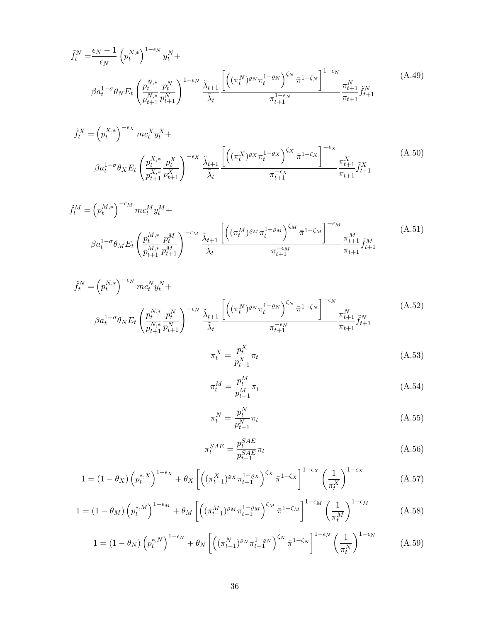$$
\tilde{f}_t^N = \frac{\epsilon_N - 1}{\epsilon_N} \left( p_t^{N,*} \right)^{1 - \epsilon_N} y_t^N +
$$
\n
$$
\beta a_t^{1 - \sigma} \theta_N E_t \left( \frac{p_t^{N,*}}{p_{t+1}^{N,*}} \frac{p_t^N}{p_{t+1}^N} \right)^{1 - \epsilon_N} \frac{\tilde{\lambda}_{t+1}}{\tilde{\lambda}_t} \frac{\left[ \left( (\pi_t^N)^{\varrho_N} \pi_t^{1 - \varrho_N} \right)^{\zeta_N} \bar{\pi}^{1 - \zeta_N} \right]^{1 - \epsilon_N}}{\pi_{t+1}^{1 - \epsilon_N}} \frac{\pi_{t+1}^N}{\pi_{t+1}} \tilde{f}_{t+1}^N \tag{A.49}
$$

$$
\tilde{f}_t^X = \left(p_t^{X,*}\right)^{-\epsilon_X} mc_t^X y_t^X + \beta \tilde{f}_t^X + \beta \tilde{f}_t^X + \beta \tilde{f}_t^X + \beta \tilde{f}_t^X + \beta \tilde{f}_t^X + \beta \tilde{f}_t^X + \beta \tilde{f}_t^X
$$
\n
$$
\beta a_t^{1-\sigma} \theta_X E_t \left(\frac{p_t^{X,*}}{p_{t+1}^{X,*}} \frac{p_t^X}{p_{t+1}^{X,*}}\right)^{-\epsilon_X} \frac{\tilde{\lambda}_{t+1}}{\tilde{\lambda}_t} \left[ \left(\left(\pi_t^X\right)^{\varrho_X} \pi_t^{1-\varrho_X}\right)^{\zeta_X} \pi_t^{1-\zeta_X} \right]^{-\epsilon_X} \frac{\pi_{t+1}^X}{\pi_{t+1}^{X,*}} \tilde{f}_{t+1}^X \tag{A.50}
$$

$$
\tilde{f}_t^M = \left(p_t^{M,*}\right)^{-\epsilon_M} mc_t^M y_t^M + \beta \tilde{f}_t^M + \beta \tilde{f}_t^M y_t^M + \beta \tilde{f}_t^M y_t^M + \beta \tilde{f}_t^M y_t^M + \beta \tilde{f}_t^M y_t^M + \beta \tilde{f}_t^M y_t^M + \beta \tilde{f}_t^M y_t^M + \beta \tilde{f}_t^M y_t^M + \beta \tilde{f}_t^M y_t^M + \beta \tilde{f}_t^M y_t^M + \beta \tilde{f}_t^M y_t^M + \beta \tilde{f}_t^M y_t^M + \beta \tilde{f}_t^M y_t^M + \beta \tilde{f}_t^M y_t^M + \beta \tilde{f}_t^M y_t^M + \beta \tilde{f}_t^M y_t^M + \beta \tilde{f}_t^M y_t^M + \beta \tilde{f}_t^M y_t^M + \beta \tilde{f}_t^M y_t^M + \beta \tilde{f}_t^M y_t^M + \beta \tilde{f}_t^M y_t^M + \beta \tilde{f}_t^M y_t^M + \beta \tilde{f}_t^M y_t^M + \beta \tilde{f}_t^M y_t^M + \beta \tilde{f}_t^M y_t^M + \beta \tilde{f}_t^M y_t^M + \beta \tilde{f}_t^M y_t^M + \beta \tilde{f}_t^M y_t^M + \beta \tilde{f}_t^M y_t^M + \beta \tilde{f}_t^M y_t^M + \beta \tilde{f}_t^M y_t^M + \beta \tilde{f}_t^M y_t^M + \beta \tilde{f}_t^M y_t^M + \beta \tilde{f}_t^M y_t^M + \beta \tilde{f}_t^M y_t^M + \beta \tilde{f}_t^M y_t^M + \beta \tilde{f}_t^M y_t^M + \beta \tilde{f}_t^M y_t^M + \beta \tilde{f}_t^M y_t^M + \beta \tilde{f}_t^M y_t^M + \beta \tilde{f}_t^M y_t^M + \beta \tilde{f}_t^M y_t^M + \beta \tilde{f}_t^M y_t^M + \beta \tilde{f}_t^M y_t^M + \beta \tilde{f}_t^M y_t^M + \beta \tilde{f}_t^
$$

$$
\tilde{f}_t^N = \left(p_t^{N,*}\right)^{-\epsilon_N} mc_t^N y_t^N +
$$
\n
$$
\beta a_t^{1-\sigma} \theta_N E_t \left(\frac{p_t^{N,*}}{p_{t+1}^{N,*}} \frac{p_t^N}{p_{t+1}^N}\right)^{-\epsilon_N} \frac{\tilde{\lambda}_{t+1}}{\tilde{\lambda}_t} \frac{\left[\left((\pi_t^N)^{\varrho_N} \pi_t^{1-\varrho_N}\right)^{\zeta_N} \pi_t^{1-\zeta_N}\right]^{-\epsilon_N}}{\pi_{t+1}^{-\epsilon_N}} \frac{\pi_{t+1}^N}{\pi_{t+1}} \tilde{f}_{t+1}^N
$$
\n(A.52)

$$
\pi_t^X = \frac{p_t^X}{p_{t-1}^X} \pi_t \tag{A.53}
$$

$$
\pi_t^M = \frac{p_t^M}{p_{t-1}^M} \pi_t \tag{A.54}
$$

$$
\pi_t^N = \frac{p_t^N}{p_{t-1}^N} \pi_t \tag{A.55}
$$

$$
\pi_t^{SAE} = \frac{p_t^{SAE}}{p_{t-1}^{SAE}} \pi_t
$$
\n(A.56)

$$
1 = (1 - \theta_X) \left( p_t^{*,X} \right)^{1 - \epsilon_X} + \theta_X \left[ \left( (\pi_{t-1}^X)^{\varrho_X} \pi_{t-1}^{1 - \varrho_X} \right)^{\zeta_X} \bar{\pi}^{1 - \zeta_X} \right]^{1 - \epsilon_X} \left( \frac{1}{\pi_t^X} \right)^{1 - \epsilon_X} \tag{A.57}
$$

$$
1 = (1 - \theta_M) \left( p_t^{*,M} \right)^{1 - \epsilon_M} + \theta_M \left[ \left( (\pi_{t-1}^M)^{\varrho_M} \pi_{t-1}^{1 - \varrho_M} \right)^{\zeta_M} \bar{\pi}^{1 - \zeta_M} \right]^{1 - \epsilon_M} \left( \frac{1}{\pi_t^M} \right)^{1 - \epsilon_M} \tag{A.58}
$$

$$
1 = (1 - \theta_N) \left( p_t^{*,N} \right)^{1 - \epsilon_N} + \theta_N \left[ \left( (\pi_{t-1}^N)^{\varrho_N} \pi_{t-1}^{1 - \varrho_N} \right)^{\zeta_N} \bar{\pi}^{1 - \zeta_N} \right]^{1 - \epsilon_N} \left( \frac{1}{\pi_t^N} \right)^{1 - \epsilon_N} \tag{A.59}
$$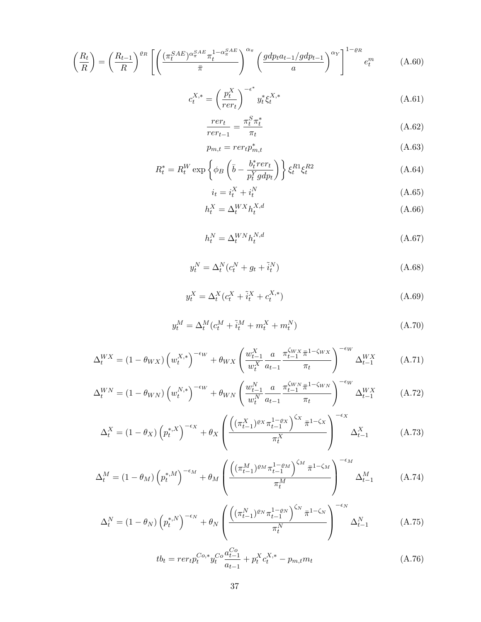$$
\left(\frac{R_t}{R}\right) = \left(\frac{R_{t-1}}{R}\right)^{\varrho_R} \left[ \left(\frac{(\pi_t^{SAE})^{\alpha_{\pi}^{SAE}} \pi_t^{1-\alpha_{\pi}^{SAE}}}{\bar{\pi}}\right)^{\alpha_{\pi}} \left(\frac{gdp_t a_{t-1}}{a}\right)^{\alpha_Y}\right]^{1-\varrho_R} e_t^m \tag{A.60}
$$

$$
c_t^{X,*} = \left(\frac{p_t^X}{rer_t}\right)^{-\epsilon^*} y_t^* \xi_t^{X,*}
$$
\n(A.61)

$$
\frac{rer_t}{rer_{t-1}} = \frac{\pi_t^S \pi_t^*}{\pi_t} \tag{A.62}
$$

$$
p_{m,t} = r e r_t p_{m,t}^* \tag{A.63}
$$

$$
R_t^* = R_t^W \exp\left\{\phi_B \left(\bar{b} - \frac{b_t^* r e_t}{p_t^Y g d p_t}\right)\right\} \xi_t^{R1} \xi_t^{R2}
$$
\n(A.64)

$$
i_t = i_t^X + i_t^N \tag{A.65}
$$

$$
h_t^X = \Delta_t^{WX} h_t^{X,d} \tag{A.66}
$$

$$
h_t^N = \Delta_t^{WN} h_t^{N,d} \tag{A.67}
$$

$$
y_t^N = \Delta_t^N (c_t^N + g_t + \tilde{i}_t^N) \tag{A.68}
$$

$$
y_t^X = \Delta_t^X (c_t^X + \tilde{i}_t^X + c_t^{X,*})
$$
\n(A.69)

$$
y_t^M = \Delta_t^M (c_t^M + \tilde{i}_t^M + m_t^X + m_t^N) \tag{A.70}
$$

$$
\Delta_t^{WX} = (1 - \theta_{WX}) \left( w_t^{X,*} \right)^{-\epsilon_W} + \theta_{WX} \left( \frac{w_{t-1}^X}{w_t^X} \frac{a}{a_{t-1}} \frac{\pi_{t-1}^{\zeta_{WX}} \pi^{1-\zeta_{WX}}}{\pi_t} \right)^{-\epsilon_W} \Delta_{t-1}^{WX} \tag{A.71}
$$

$$
\Delta_t^{WN} = (1 - \theta_{WN}) \left( w_t^{N,*} \right)^{-\epsilon_W} + \theta_{WN} \left( \frac{w_{t-1}^N}{w_t^N} \frac{a}{a_{t-1}} \frac{\pi_{t-1}^{\zeta_{WN}} \pi^{1-\zeta_{WN}}}{\pi_t} \right)^{-\epsilon_W} \Delta_{t-1}^{WX} \tag{A.72}
$$

$$
\Delta_t^X = (1 - \theta_X) \left( p_t^{*,X} \right)^{-\epsilon_X} + \theta_X \left( \frac{\left( (\pi_{t-1}^X)^{\varrho_X} \pi_{t-1}^{1-\varrho_X} \right)^{\zeta_X} \bar{\pi}^{1-\zeta_X}}{\pi_t^X} \right)^{-\epsilon_X} \Delta_{t-1}^X \tag{A.73}
$$

$$
\Delta_t^M = (1 - \theta_M) \left( p_t^{*,M} \right)^{-\epsilon_M} + \theta_M \left( \frac{\left( (\pi_{t-1}^M)^{\varrho_M} \pi_{t-1}^{1-\varrho_M} \right)^{\zeta_M} \bar{\pi}^{1-\zeta_M}}{\pi_t^M} \right)^{-\epsilon_M} \Delta_{t-1}^M \tag{A.74}
$$

$$
\Delta_t^N = (1 - \theta_N) \left( p_t^{*,N} \right)^{-\epsilon_N} + \theta_N \left( \frac{\left( (\pi_{t-1}^N)^{\varrho_N} \pi_{t-1}^{1-\varrho_N} \right)^{\zeta_N} \bar{\pi}^{1-\zeta_N}}{\pi_t^N} \right)^{-\epsilon_N} \Delta_{t-1}^N \tag{A.75}
$$

$$
tb_t = r e r_t p_t^{Co,*} y_t^{Co} \frac{a_{t-1}^{Co}}{a_{t-1}} + p_t^X c_t^{X,*} - p_{m,t} m_t
$$
\n(A.76)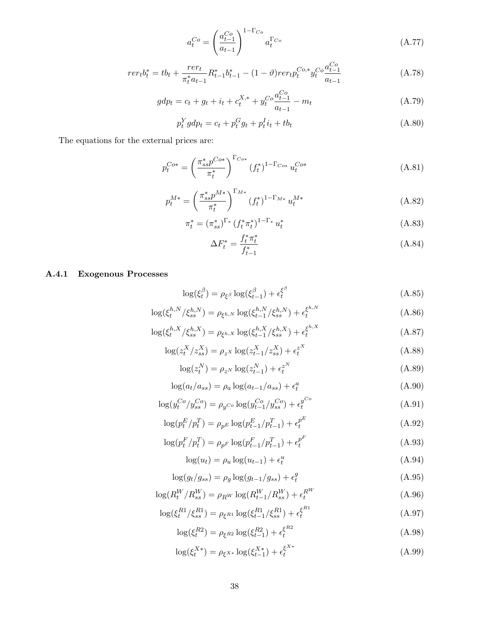$$
a_t^{Co} = \left(\frac{a_{t-1}^{Co}}{a_{t-1}}\right)^{1-\Gamma_{Co}} a_t^{\Gamma_{Co}}
$$
 (A.77)

$$
rer_t b_t^* = tb_t + \frac{rer_t}{\pi_t^* a_{t-1}} R_{t-1}^* b_{t-1}^* - (1 - \vartheta) r \, erf_t^{\text{Co},*} y_t^{\text{Co}} \frac{a_{t-1}^{\text{Co}}}{a_{t-1}}
$$
\n(A.78)

$$
gdp_t = c_t + g_t + i_t + c_t^{X,*} + y_t^{Co} \frac{a_{t-1}^{Co}}{a_{t-1}} - m_t
$$
\n(A.79)

$$
p_t^Y g dp_t = c_t + p_t^G g_t + p_t^I i_t + t b_t
$$
\n(A.80)

The equations for the external prices are:

$$
p_t^{Cos} = \left(\frac{\pi_{ss}^* p^{Cos}}{\pi_t^*}\right)^{\Gamma_{Cos}} (f_t^*)^{1-\Gamma_{Cos}} u_t^{Cos} \tag{A.81}
$$

$$
p_t^{M*} = \left(\frac{\pi_{ss}^* p^{M*}}{\pi_t^*}\right)^{\Gamma_{M*}} (f_t^*)^{1-\Gamma_{M*}} u_t^{M*}
$$
 (A.82)

$$
\pi_t^* = (\pi_{ss}^*)^{\Gamma_*} (f_t^* \pi_t^*)^{1-\Gamma_*} u_t^* \tag{A.83}
$$

$$
\Delta F_t^* = \frac{f_t^* \pi_t^*}{f_{t-1}^*} \tag{A.84}
$$

## A.4.1 Exogenous Processes

$$
\log(\xi_t^{\beta}) = \rho_{\xi^{\beta}} \log(\xi_{t-1}^{\beta}) + \epsilon_t^{\xi^{\beta}}
$$
\n(A.85)

$$
\log(\xi_t^{h,N}/\xi_{ss}^{h,N}) = \rho_{\xi^{h,N}} \log(\xi_{t-1}^{h,N}/\xi_{ss}^{h,N}) + \epsilon_t^{\xi_{h,N}}
$$
\n(A.86)

$$
\log(\xi_t^{h,X}/\xi_{ss}^{h,X}) = \rho_{\xi^h,X} \log(\xi_{t-1}^{h,X}/\xi_{ss}^{h,X}) + \epsilon_t^{\xi^{h,X}}
$$
 (A.87)

$$
\log(z_t^X / z_{ss}^X) = \rho_{z^X} \log(z_{t-1}^X / z_{ss}^X) + \epsilon_t^{z^X}
$$
\n(A.88)

$$
\log(z_t^N) = \rho_{z^N} \log(z_{t-1}^N) + \epsilon_t^{z^N}
$$
\n(A.89)

$$
\log(a_t/a_{ss}) = \rho_a \log(a_{t-1}/a_{ss}) + \epsilon_t^a
$$
\n(A.90)

$$
\log(y_t^{Co}/y_{ss}^{Co}) = \rho_{y^{Co}} \log(y_{t-1}^{Co}/y_{ss}^{Co}) + \epsilon_t^{y^{Co}}
$$
 (A.91)

$$
\log(p_t^E/p_t^T) = \rho_{p^E} \log(p_{t-1}^E/p_{t-1}^T) + \epsilon_t^{p^E}
$$
\n(A.92)

$$
\log(p_t^F/p_t^T) = \rho_{p^F} \log(p_{t-1}^F/p_{t-1}^T) + \epsilon_t^{p^F}
$$
\n(A.93)

$$
\log(u_t) = \rho_u \log(u_{t-1}) + \epsilon_t^u \tag{A.94}
$$

$$
\log(g_t/g_{ss}) = \rho_g \log(g_{t-1}/g_{ss}) + \epsilon_t^g \tag{A.95}
$$

$$
\log(R_t^W/R_{ss}^W) = \rho_{RW} \log(R_{t-1}^W/R_{ss}^W) + \epsilon_t^{RW}
$$
\n(A.96)

$$
\log(\xi_t^{R1}/\xi_{ss}^{R1}) = \rho_{\xi^{R1}} \log(\xi_{t-1}^{R1}/\xi_{ss}^{R1}) + \epsilon_t^{\xi^{R1}}
$$
\n(A.97)

$$
\log(\xi_t^{R2}) = \rho_{\xi^{R2}} \log(\xi_{t-1}^{R2}) + \epsilon_t^{\xi^{R2}}
$$
\n(A.98)

$$
\log(\xi_t^{X*}) = \rho_{\xi^{X*}} \log(\xi_{t-1}^{X*}) + \epsilon_t^{\xi^{X*}}
$$
\n(A.99)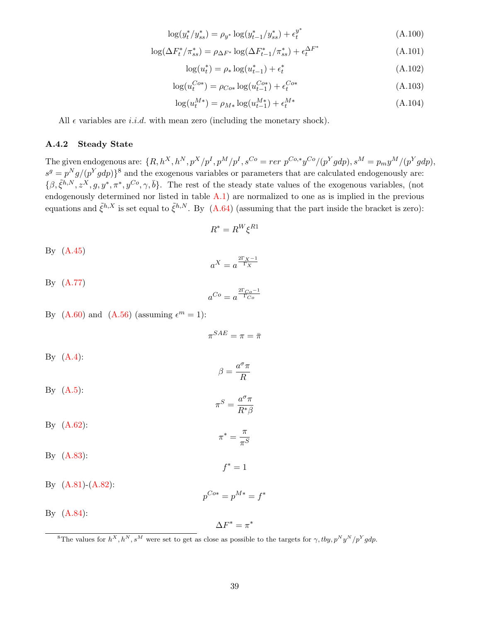$$
\log(y_t^* / y_{ss}^*) = \rho_{y^*} \log(y_{t-1}^* / y_{ss}^*) + \epsilon_t^{y^*}
$$
\n(A.100)

$$
\log(\Delta F_t^* / \pi_{ss}^*) = \rho_{\Delta F^*} \log(\Delta F_{t-1}^* / \pi_{ss}^*) + \epsilon_t^{\Delta F^*}
$$
\n(A.101)

$$
\log(u_t^*) = \rho_* \log(u_{t-1}^*) + \epsilon_t^* \tag{A.102}
$$

$$
\log(u_t^{Co*}) = \rho_{Co*} \log(u_{t-1}^{Co*}) + \epsilon_t^{Co*}
$$
\n(A.103)

$$
\log(u_t^{M*}) = \rho_{M*} \log(u_{t-1}^{M*}) + \epsilon_t^{M*}
$$
\n(A.104)

All  $\epsilon$  variables are *i.i.d.* with mean zero (including the monetary shock).

#### A.4.2 Steady State

The given endogenous are:  $\{R, h^X, h^N, p^X/p^I, p^M/p^I, s^{Co} = r e r \,\, p^{Co,*} y^{Co}/(p^Y g dp), s^M = p_m y^M/(p^Y g dp),$  $s^g = p^N g/(p^Y g dp)$ <sup>8</sup> and the exogenous variables or parameters that are calculated endogenously are:  $\{\beta, \tilde{\xi}^{h,N}, z^X, g, y^*, \pi^*, y^{Co}, \gamma, \bar{b}\}.$  The rest of the steady state values of the exogenous variables, (not endogenously determined nor listed in table A.1) are normalized to one as is implied in the previous equations and  $\tilde{\xi}^{h,X}$  is set equal to  $\tilde{\xi}^{h,N}$ . By (A.64) (assuming that the part inside the bracket is zero):

$$
R^* = R^W \xi^{R1}
$$

By (A.45)

$$
a^X = a^{\frac{2\Gamma_X - 1}{\Gamma_X}}
$$

By (A.77)  
 
$$
a^{Co} = a^{\frac{2\Gamma_{Co}-1}{\Gamma_{Co}}}
$$

By  $(A.60)$  and  $(A.56)$  (assuming  $\epsilon^m = 1$ ):

 $\pi^{SAE} = \pi = \bar{\pi}$ By  $(A.4)$ :  $\beta = \frac{a^{\sigma}\pi}{R}$ R By  $(A.5)$ :  $\pi^S = \frac{a^{\sigma}\pi}{R}$  $R^*\beta$  $By (A.62):$  $\pi^* = \frac{\pi}{a}$  $\pi^S$ By (A.83):  $f^* = 1$ By  $(A.81)$ - $(A.82)$ :  $p^{Cos} = p^{M*} = f^*$ By (A.84):  $\Delta F^* = \pi^*$ 

<sup>8</sup>The values for  $h^X, h^N, s^M$  were set to get as close as possible to the targets for  $\gamma, ty, p^N y^N/p^Y g dp$ .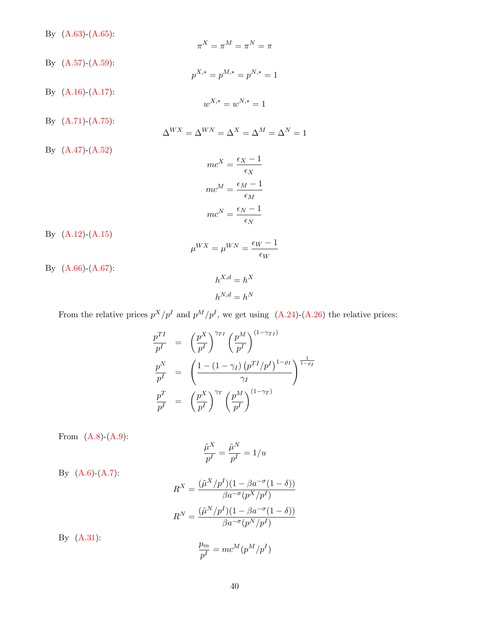By (A.63)-(A.65):

$$
\pi^{X} = \pi^{M} = \pi^{N} = \pi
$$
  
By (A.57)-(A.59):  

$$
p^{X,*} = p^{M,*} = p^{N,*} = 1
$$
  
By (A.16)-(A.17):  

$$
w^{X,*} = w^{N,*} = 1
$$
  
By (A.71)-(A.75):  

$$
\Delta^{WX} = \Delta^{WN} = \Delta^{X} = \Delta^{M} = \Delta^{N} = 1
$$
  
By (A.47)-(A.52)  

$$
mc^{X} = \frac{\epsilon_{X} - 1}{\epsilon_{X}}
$$
  

$$
mc^{M} = \frac{\epsilon_{M} - 1}{\epsilon_{M}}
$$
  

$$
mc^{N} = \frac{\epsilon_{N} - 1}{\epsilon_{N}}
$$

By (A.12)-(A.15) 
$$
\mu^{WX} = \mu^{WN} = \frac{\epsilon_W - 1}{\epsilon_W}
$$

By (A.66)-(A.67):

$$
h^{X,d} = h^X
$$

$$
h^{N,d} = h^N
$$

From the relative prices  $p^X/p^I$  and  $p^M/p^I$ , we get using (A.24)-(A.26) the relative prices:

$$
\frac{p^{TI}}{p^I} = \left(\frac{p^X}{p^I}\right)^{\gamma_{TI}} \left(\frac{p^M}{p^I}\right)^{(1-\gamma_{TI})}
$$
\n
$$
\frac{p^N}{p^I} = \left(\frac{1 - (1 - \gamma_I) (p^{TI}/p^I)^{1-\varrho_I}}{\gamma_I}\right)^{\frac{1}{1-\varrho_I}}
$$
\n
$$
\frac{p^T}{p^I} = \left(\frac{p^X}{p^I}\right)^{\gamma_T} \left(\frac{p^M}{p^I}\right)^{(1-\gamma_T)}
$$

From  $(A.8)-(A.9)$ :

By (A.6)-(A.7):

$$
\frac{\tilde{\mu}^X}{p^I} = \frac{\tilde{\mu}^N}{p^I} = 1/u
$$

 $R^X = \frac{(\tilde{\mu}^X/p^I)(1 - \beta a^{-\sigma}(1-\delta))}{\beta \sigma^X(\lambda + I)}$  $\beta a^{-\sigma}(p^X/p^I)$  $R^N = \frac{(\tilde{\mu}^N/p^I)(1 - \beta a^{-\sigma}(1-\delta))}{\beta \sigma^2(N+I)}$  $\beta a^{-\sigma}(p^N/p^I)$ 

By (A.31):

$$
\frac{p_m}{p^I} = mc^M (p^M/p^I)
$$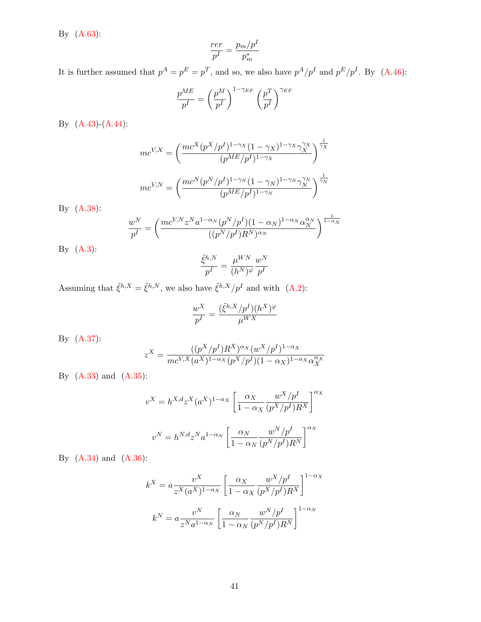By (A.63):

$$
\frac{rer}{p^I} = \frac{p_m/p^I}{p_m^*}
$$

It is further assumed that  $p^A = p^E = p^T$ , and so, we also have  $p^A/p^I$  and  $p^E/p^I$ . By (A.46):

$$
\frac{p^{ME}}{p^I} = \left(\frac{p^M}{p^I}\right)^{1-\gamma_{EF}} \left(\frac{p^T}{p^I}\right)^{\gamma_{EF}}
$$

By (A.43)-(A.44):

$$
mc^{V,X} = \left(\frac{mc^X (p^X/p^I)^{1-\gamma_X} (1-\gamma_X)^{1-\gamma_X} \gamma_X^{\gamma_X}}{(p^{ME}/p^I)^{1-\gamma_X}}\right)^{\frac{1}{\gamma_X}}
$$

$$
mc^{V,N} = \left(\frac{mc^N (p^N/p^I)^{1-\gamma_N} (1-\gamma_N)^{1-\gamma_N} \gamma_N^{\gamma_N}}{(p^{ME}/p^I)^{1-\gamma_N}}\right)^{\frac{1}{\gamma_N}}
$$

By (A.38):

$$
\frac{w^N}{p^I} = \left(\frac{mc^{V,N}z^Na^{1-\alpha_N}(p^N/p^I)(1-\alpha_N)^{1-\alpha_N}\alpha_N^{\alpha_N}}{(p^N/p^I)R^N)^{\alpha_N}}\right)^{\frac{1}{1-\alpha_N}}
$$
  
...

By (A.3):

$$
\frac{\tilde{\xi}^{h,N}}{p^I} = \frac{\mu^{WN}}{(h^N)^\varphi} \frac{w^N}{p^I}
$$

Assuming that  $\tilde{\xi}^{h,X} = \tilde{\xi}^{h,N}$ , we also have  $\tilde{\xi}^{h,X}/p^I$  and with (A.2):

$$
\frac{w^X}{p^I} = \frac{(\tilde{\xi}^{h,X}/p^I)(h^X)^\varphi}{\mu^{WX}}
$$

By (A.37):

$$
z^{X} = \frac{((p^{X}/p^{I})R^{X})^{\alpha_{X}}(w^{X}/p^{I})^{1-\alpha_{X}}}{mc^{V,X}(a^{X})^{1-\alpha_{X}}(p^{X}/p^{I})(1-\alpha_{X})^{1-\alpha_{X}}\alpha_{X}^{\alpha_{X}}}
$$

By (A.33) and (A.35):

$$
v^X = h^{X,d} z^X (a^X)^{1-\alpha_X} \left[ \frac{\alpha_X}{1-\alpha_X} \frac{w^X/p^I}{(p^X/p^I)R^X} \right]^{\alpha_X}
$$

$$
v^N = h^{N,d} z^N a^{1-\alpha_N} \left[ \frac{\alpha_N}{1-\alpha_N} \frac{w^N/p^I}{(p^N/p^I)R^N} \right]^{\alpha_N}
$$

By (A.34) and (A.36):

$$
k^X = a \frac{v^X}{z^X (a^X)^{1-\alpha_X}} \left[ \frac{\alpha_X}{1-\alpha_X} \frac{w^X / p^I}{(p^X / p^I) R^X} \right]^{1-\alpha_X}
$$

$$
k^N = a \frac{v^N}{z^N a^{1-\alpha_N}} \left[ \frac{\alpha_N}{1-\alpha_N} \frac{w^N / p^I}{(p^N / p^I) R^N} \right]^{1-\alpha_N}
$$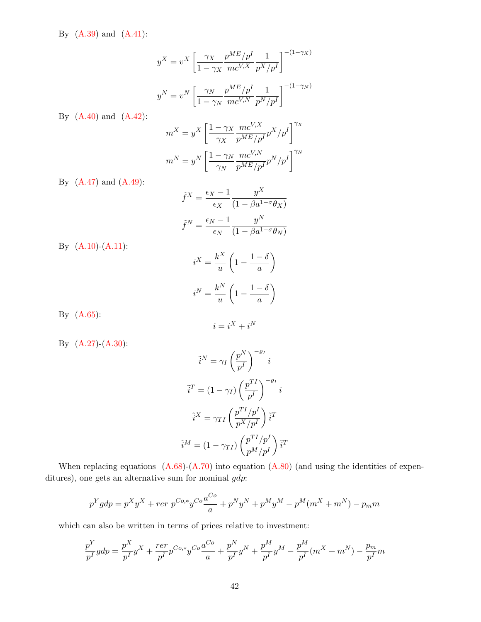By (A.39) and (A.41):

$$
y^X = v^X \left[ \frac{\gamma_X}{1 - \gamma_X} \frac{p^{ME}/p^I}{mc^{V,X}} \frac{1}{p^X/p^I} \right]^{-(1-\gamma_X)}
$$

$$
y^N = v^N \left[ \frac{\gamma_N}{1 - \gamma_N} \frac{p^{ME}/p^I}{mc^{V,N}} \frac{1}{p^N/p^I} \right]^{-(1-\gamma_N)}
$$

By (A.40) and (A.42):

$$
m^X = y^X \left[ \frac{1-\gamma_X}{\gamma_X} \frac{mc^{V,X}}{p^{ME}/p^I} p^X / p^I \right]^{\gamma_X}
$$
  

$$
m^N = y^N \left[ \frac{1-\gamma_N}{\gamma_N} \frac{mc^{V,N}}{p^{ME}/p^I} p^N / p^I \right]^{\gamma_N}
$$

By (A.47) and (A.49):

$$
\tilde{f}^X = \frac{\epsilon_X - 1}{\epsilon_X} \frac{y^X}{(1 - \beta a^{1 - \sigma} \theta_X)}
$$

$$
\tilde{f}^N = \frac{\epsilon_N - 1}{\epsilon_N} \frac{y^N}{(1 - \beta a^{1 - \sigma} \theta_N)}
$$

By (A.10)-(A.11):

$$
i^X = \frac{k^X}{u} \left( 1 - \frac{1 - \delta}{a} \right)
$$

$$
i^N = \frac{k^N}{u} \left( 1 - \frac{1 - \delta}{a} \right)
$$

By (A.65):

$$
i=i^X+i^N
$$

By (A.27)-(A.30):

$$
\tilde{i}^{N} = \gamma_{I} \left(\frac{p^{N}}{p^{I}}\right)^{-\varrho_{I}} i
$$

$$
\tilde{i}^{T} = (1 - \gamma_{I}) \left(\frac{p^{TI}}{p^{I}}\right)^{-\varrho_{I}} i
$$

$$
\tilde{i}^{X} = \gamma_{TI} \left(\frac{p^{TI}/p^{I}}{p^{X}/p^{I}}\right) \tilde{i}^{T}
$$

$$
\tilde{i}^{M} = (1 - \gamma_{TI}) \left(\frac{p^{TI}/p^{I}}{p^{M}/p^{I}}\right) \tilde{i}^{T}
$$

When replacing equations  $(A.68)-(A.70)$  into equation  $(A.80)$  (and using the identities of expenditures), one gets an alternative sum for nominal  $gdp$ :

$$
p^{Y}gdp = p^{X}y^{X} + r e r p^{Co,*}y^{Co} \frac{a^{Co}}{a} + p^{N}y^{N} + p^{M}y^{M} - p^{M}(m^{X} + m^{N}) - p_{m}m
$$

which can also be written in terms of prices relative to investment:

$$
\frac{p^Y}{p^I}gdp = \frac{p^X}{p^I}y^X + \frac{rer}{p^I}p^{Co,*}y^{Co}\frac{a^{Co}}{a} + \frac{p^N}{p^I}y^N + \frac{p^M}{p^I}y^M - \frac{p^M}{p^I}(m^X + m^N) - \frac{p_m}{p^I}m
$$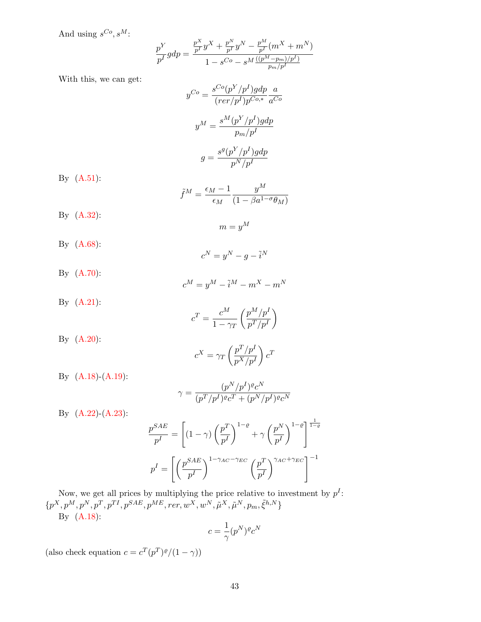And using  $s^{Co}, s^M$ :

$$
\frac{p^{Y}}{p^{I}}gdp = \frac{\frac{p^{X}}{p^{I}}y^{X} + \frac{p^{N}}{p^{I}}y^{N} - \frac{p^{M}}{p^{I}}(m^{X} + m^{N})}{1 - s^{Co} - s^{M}\frac{((p^{M} - p_{m})/p^{I})}{p_{m}/p^{I}}}
$$

With this, we can get:

$$
y^{Co} = \frac{s^{Co}(p^{Y}/p^{I})gdp}{(rer/p^{I})p^{Co,*}} \frac{a}{a^{Co}}
$$

$$
y^{M} = \frac{s^{M}(p^{Y}/p^{I})gdp}{p_{m}/p^{I}}
$$

$$
g = \frac{s^{g}(p^{Y}/p^{I})gdp}{p^{N}/p^{I}}
$$

By (A.51):

$$
\tilde{f}^{M} = \frac{\epsilon_{M} - 1}{\epsilon_{M}} \frac{y^{M}}{(1 - \beta a^{1 - \sigma} \theta_{M})}
$$

By (A.32):

$$
m=y^M
$$

By (A.68):

$$
c^N = y^N - g - \tilde{i}^N
$$

- By (A.70):  $c^M = y^M - \tilde{i}^M - m^X - m^N$
- By (A.21):

$$
c^T = \frac{c^M}{1 - \gamma_T} \left( \frac{p^M / p^I}{p^T / p^I} \right)
$$

By (A.20):

$$
c^X = \gamma_T \left(\frac{p^T/p^I}{p^X/p^I}\right) c^T
$$

By (A.18)-(A.19):

$$
\gamma = \frac{(p^N/p^I)^{\varrho} c^N}{(p^T/p^I)^{\varrho} c^T + (p^N/p^I)^{\varrho} c^N}
$$

By (A.22)-(A.23):

$$
\frac{p^{SAE}}{p^I} = \left[ (1 - \gamma) \left( \frac{p^T}{p^I} \right)^{1 - \varrho} + \gamma \left( \frac{p^N}{p^I} \right)^{1 - \varrho} \right]^{\frac{1}{1 - \varrho}}
$$

$$
p^I = \left[ \left( \frac{p^{SAE}}{p^I} \right)^{1 - \gamma_{AC} - \gamma_{EC}} \left( \frac{p^T}{p^I} \right)^{\gamma_{AC} + \gamma_{EC}} \right]^{-1}
$$

Now, we get all prices by multiplying the price relative to investment by  $p<sup>I</sup>$ :  $\{p^X, p^M, p^N, p^T, p^{TI}, p^{SAE}, p^{ME}, rer, w^X, w^N, \tilde{\mu}^X, \tilde{\mu}^N, p_m, \tilde{\xi}^{h,N}\}$ By (A.18):

$$
c = \frac{1}{\gamma} (p^N)^{\varrho} c^N
$$

(also check equation  $c = c^T (p^T)^{\rho}/(1 - \gamma)$ )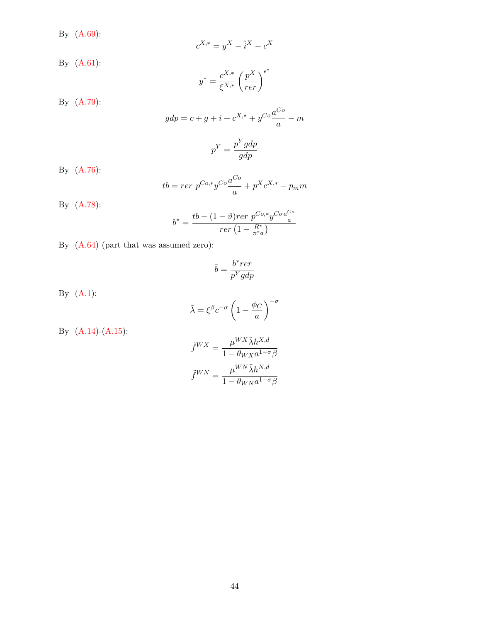By (A.69):

$$
c^{X,*} = y^X - \tilde{i}^X - c^X
$$

By (A.61):

$$
y^*=\frac{c^{X,*}}{\xi^{X,*}}\left(\frac{p^X}{rer}\right)^{\epsilon^*}
$$

By (A.79):

$$
gdp = c + g + i + c^{X,*} + y^{Co} \frac{a^{Co}}{a} - m
$$
  

$$
p^{Y} = \frac{p^{Y}gdp}{gdp}
$$

By (A.76):

$$
tb = r e r \ p^{Co,*} y^{Co} \frac{a^{Co}}{a} + p^X c^{X,*} - p_m m
$$

By (A.78):

$$
b^* = \frac{tb - (1-\vartheta) r e r \ p^{Co,*} y^{Co} \frac{a^{Co}}{a}}{r e r \left(1 - \frac{R^*}{\pi^* a}\right)}
$$

By (A.64) (part that was assumed zero):

$$
\bar{b}=\frac{b^* r e r}{p^Y g d p}
$$

By  $(A.1)$ :

$$
\tilde{\lambda} = \xi^{\beta} c^{-\sigma} \left( 1 - \frac{\phi_C}{a} \right)^{-\sigma}
$$

By (A.14)-(A.15):

$$
\begin{split} \tilde{f}^{WX} &= \frac{\mu^{WX} \tilde{\lambda} h^{X,d}}{1 - \theta_{WX} a^{1-\sigma} \beta} \\ \tilde{f}^{WN} &= \frac{\mu^{WN} \tilde{\lambda} h^{N,d}}{1 - \theta_{WN} a^{1-\sigma} \beta} \end{split}
$$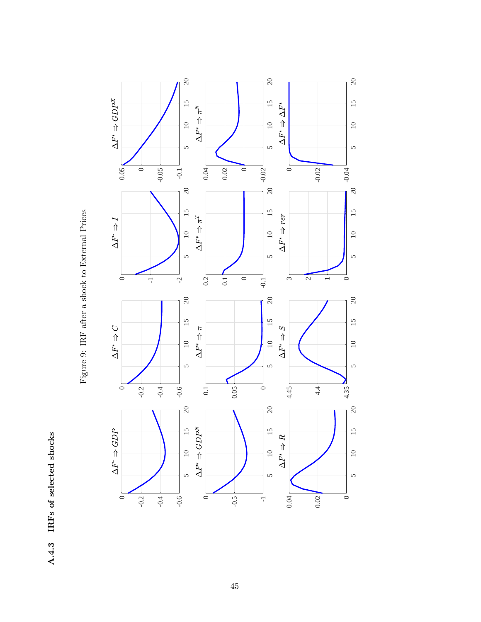A.4.3 IRFs of selected shocks A.4.3 IRFs of selected shocks